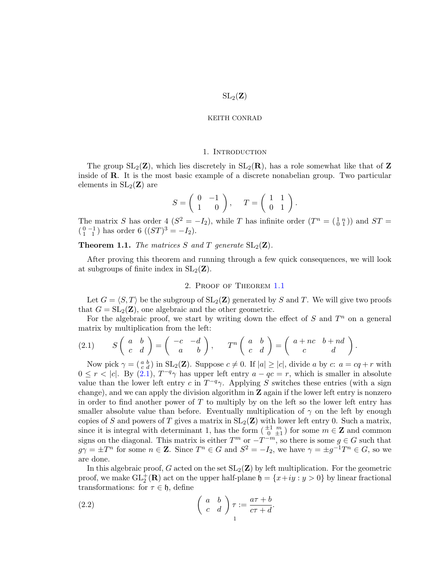#### 1. INTRODUCTION

The group  $SL_2(\mathbf{Z})$ , which lies discretely in  $SL_2(\mathbf{R})$ , has a role somewhat like that of Z inside of R. It is the most basic example of a discrete nonabelian group. Two particular elements in  $SL_2(\mathbf{Z})$  are

$$
S = \left(\begin{array}{cc} 0 & -1 \\ 1 & 0 \end{array}\right), \quad T = \left(\begin{array}{cc} 1 & 1 \\ 0 & 1 \end{array}\right).
$$

The matrix S has order  $\frac{1}{2}(S^2 = -I_2)$ , while T has infinite order  $(T^n = \begin{pmatrix} 1 & n \\ 0 & 1 \end{pmatrix})$  and  $ST =$  $\binom{0-1}{1-1}$  has order 6  $((ST)^3 = -I_2)$ .

<span id="page-0-0"></span>**Theorem 1.1.** The matrices S and T generate  $SL_2(\mathbf{Z})$ .

After proving this theorem and running through a few quick consequences, we will look at subgroups of finite index in  $SL_2(\mathbf{Z})$ .

# 2. Proof of Theorem [1.1](#page-0-0)

Let  $G = \langle S, T \rangle$  be the subgroup of  $SL_2(\mathbb{Z})$  generated by S and T. We will give two proofs that  $G = SL_2(\mathbf{Z})$ , one algebraic and the other geometric.

For the algebraic proof, we start by writing down the effect of  $S$  and  $T<sup>n</sup>$  on a general matrix by multiplication from the left:

<span id="page-0-1"></span>
$$
(2.1) \tS\left(\begin{array}{cc}a & b \\ c & d\end{array}\right) = \left(\begin{array}{cc}-c & -d \\ a & b\end{array}\right), \tT^n\left(\begin{array}{cc}a & b \\ c & d\end{array}\right) = \left(\begin{array}{cc}a+nc & b+nd \\ c & d\end{array}\right).
$$

Now pick  $\gamma = \begin{pmatrix} a & b \\ c & d \end{pmatrix}$  in  $SL_2(\mathbf{Z})$ . Suppose  $c \neq 0$ . If  $|a| \geq |c|$ , divide a by  $c: a = cq + r$  with  $0 \leq r < |c|$ . By  $(2.1)$ ,  $T^{-q}\gamma$  has upper left entry  $a - qc = r$ , which is smaller in absolute value than the lower left entry c in  $T^{-q}\gamma$ . Applying S switches these entries (with a sign change), and we can apply the division algorithm in  $\mathbf Z$  again if the lower left entry is nonzero in order to find another power of  $T$  to multiply by on the left so the lower left entry has smaller absolute value than before. Eventually multiplication of  $\gamma$  on the left by enough copies of S and powers of T gives a matrix in  $SL_2(\mathbf{Z})$  with lower left entry 0. Such a matrix, since it is integral with determinant 1, has the form  $\left(\begin{array}{cc} \pm 1 & m \\ 0 & \pm 1 \end{array}\right)$  for some  $m \in \mathbb{Z}$  and common signs on the diagonal. This matrix is either  $T^m$  or  $-T^{-m}$ , so there is some  $g \in G$  such that  $g\gamma = \pm T^n$  for some  $n \in \mathbb{Z}$ . Since  $T^n \in G$  and  $S^2 = -I_2$ , we have  $\gamma = \pm g^{-1}T^n \in G$ , so we are done.

In this algebraic proof, G acted on the set  $SL_2(\mathbf{Z})$  by left multiplication. For the geometric proof, we make  $GL_2^+(\mathbf{R})$  act on the upper half-plane  $\mathfrak{h} = \{x+iy : y > 0\}$  by linear fractional transformations: for  $\tau \in \mathfrak{h}$ , define

<span id="page-0-2"></span>(2.2) 
$$
\begin{pmatrix} a & b \ c & d \end{pmatrix} \tau := \frac{a\tau + b}{c\tau + d}.
$$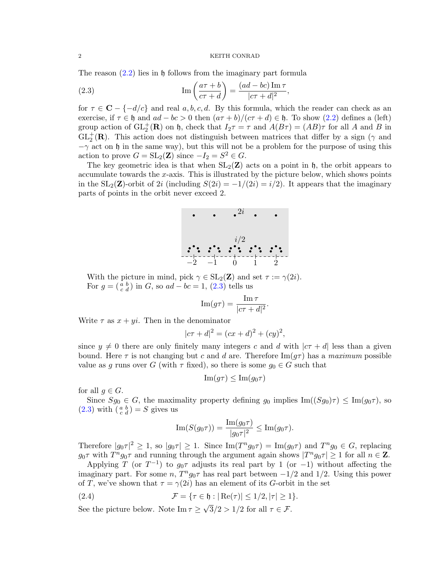# $\,$  2  $\,$  KEITH CONRAD  $\,$

,

The reason  $(2.2)$  lies in h follows from the imaginary part formula

<span id="page-1-0"></span>(2.3) 
$$
\operatorname{Im}\left(\frac{a\tau+b}{c\tau+d}\right) = \frac{(ad-bc)\operatorname{Im}\tau}{|c\tau+d|^2}
$$

for  $\tau \in \mathbb{C} - \{-d/c\}$  and real a, b, c, d. By this formula, which the reader can check as an exercise, if  $\tau \in \mathfrak{h}$  and  $ad - bc > 0$  then  $(a\tau + b)/(c\tau + d) \in \mathfrak{h}$ . To show  $(2.2)$  defines a (left) group action of  $GL_2^+(\mathbf{R})$  on h, check that  $I_2\tau = \tau$  and  $A(B\tau) = (AB)\tau$  for all A and B in  $GL_2^+(\mathbf{R})$ . This action does not distinguish between matrices that differ by a sign ( $\gamma$  and  $-\gamma$  act on h in the same way), but this will not be a problem for the purpose of using this action to prove  $G = SL_2(\mathbf{Z})$  since  $-I_2 = S^2 \in G$ .

The key geometric idea is that when  $SL_2(\mathbf{Z})$  acts on a point in h, the orbit appears to accumulate towards the  $x$ -axis. This is illustrated by the picture below, which shows points in the  $SL_2(\mathbf{Z})$ -orbit of 2i (including  $S(2i) = -1/(2i) = i/2$ ). It appears that the imaginary parts of points in the orbit never exceed 2.



With the picture in mind, pick  $\gamma \in SL_2(\mathbf{Z})$  and set  $\tau := \gamma(2i)$ . For  $g = \begin{pmatrix} a & b \\ c & d \end{pmatrix}$  in G, so  $ad - bc = 1$ , [\(2.3\)](#page-1-0) tells us

$$
\operatorname{Im}(g\tau) = \frac{\operatorname{Im}\tau}{|c\tau + d|^2}.
$$

Write  $\tau$  as  $x + yi$ . Then in the denominator

$$
|c\tau + d|^2 = (cx + d)^2 + (cy)^2,
$$

since  $y \neq 0$  there are only finitely many integers c and d with  $|c\tau + d|$  less than a given bound. Here  $\tau$  is not changing but c and d are. Therefore  $\text{Im}(g\tau)$  has a maximum possible value as g runs over G (with  $\tau$  fixed), so there is some  $g_0 \in G$  such that

$$
\mathrm{Im}(g\tau) \le \mathrm{Im}(g_0\tau)
$$

for all  $g \in G$ .

Since  $Sg_0 \in G$ , the maximality property defining  $g_0$  implies  $\text{Im}((Sg_0)\tau) \leq \text{Im}(g_0\tau)$ , so  $(2.3)$  with  $\left(\begin{smallmatrix} a & b \\ c & d \end{smallmatrix}\right) = S$  gives us

<span id="page-1-1"></span>
$$
\operatorname{Im}(S(g_0\tau)) = \frac{\operatorname{Im}(g_0\tau)}{|g_0\tau|^2} \le \operatorname{Im}(g_0\tau).
$$

Therefore  $|g_0\tau|^2 \geq 1$ , so  $|g_0\tau| \geq 1$ . Since  $\text{Im}(T^n g_0\tau) = \text{Im}(g_0\tau)$  and  $T^n g_0 \in G$ , replacing  $g_0\tau$  with  $T^ng_0\tau$  and running through the argument again shows  $|T^ng_0\tau|\geq 1$  for all  $n\in\mathbb{Z}$ .

Applying T (or  $T^{-1}$ ) to  $g_0\tau$  adjusts its real part by 1 (or -1) without affecting the imaginary part. For some  $n$ ,  $T^n g_0 \tau$  has real part between  $-1/2$  and  $1/2$ . Using this power of T, we've shown that  $\tau = \gamma(2i)$  has an element of its G-orbit in the set

(2.4) 
$$
\mathcal{F} = \{ \tau \in \mathfrak{h} : |\operatorname{Re}(\tau)| \leq 1/2, |\tau| \geq 1 \}.
$$

See the picture below. Note  $\text{Im}\,\tau \geq 0$  $3/2 > 1/2$  for all  $\tau \in \mathcal{F}$ .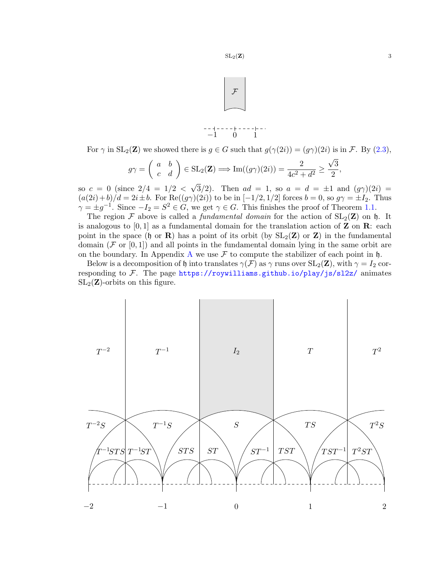

For  $\gamma$  in  $SL_2(\mathbb{Z})$  we showed there is  $g \in G$  such that  $g(\gamma(2i)) = (g\gamma)(2i)$  is in F. By  $(2.3)$ ,

$$
g\gamma = \begin{pmatrix} a & b \\ c & d \end{pmatrix} \in SL_2(\mathbf{Z}) \Longrightarrow \text{Im}((g\gamma)(2i)) = \frac{2}{4c^2 + d^2} \ge \frac{\sqrt{3}}{2},
$$

so  $c = 0$  (since  $2/4 = 1/2 <$  $3/2$ ). Then  $ad = 1$ , so  $a = d = \pm 1$  and  $(g\gamma)(2i) =$  $(a(2i)+b)/d = 2i \pm b$ . For  $\text{Re}((g\gamma)(2i))$  to be in  $[-1/2, 1/2]$  forces  $b = 0$ , so  $g\gamma = \pm I_2$ . Thus  $\gamma = \pm g^{-1}$ . Since  $-I_2 = S^2 \in G$ , we get  $\gamma \in G$ . This finishes the proof of Theorem [1.1.](#page-0-0)

The region F above is called a *fundamental domain* for the action of  $SL_2(\mathbb{Z})$  on h. It is analogous to [0, 1] as a fundamental domain for the translation action of **Z** on **R**: each point in the space (h or R) has a point of its orbit (by  $SL_2(\mathbb{Z})$  or Z) in the fundamental domain ( $\mathcal F$  or  $[0,1]$ ) and all points in the fundamental domain lying in the same orbit are on the boundary. In [A](#page-12-0)ppendix A we use  $\mathcal F$  to compute the stabilizer of each point in h.

Below is a decomposition of h into translates  $\gamma(\mathcal{F})$  as  $\gamma$  runs over  $SL_2(\mathbf{Z})$ , with  $\gamma = I_2$  corresponding to  $\mathcal F$ . The page <https://roywilliams.github.io/play/js/sl2z/> animates  $SL_2(\mathbf{Z})$ -orbits on this figure.

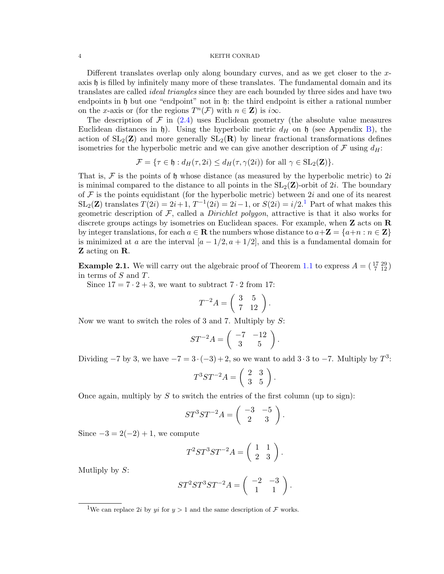Different translates overlap only along boundary curves, and as we get closer to the xaxis  $\mathfrak h$  is filled by infinitely many more of these translates. The fundamental domain and its translates are called ideal triangles since they are each bounded by three sides and have two endpoints in h but one "endpoint" not in h: the third endpoint is either a rational number on the x-axis or (for the regions  $T^n(\mathcal{F})$  with  $n \in \mathbb{Z}$ ) is  $i\infty$ .

The description of  $\mathcal F$  in [\(2.4\)](#page-1-1) uses Euclidean geometry (the absolute value measures Euclidean distances in h). Using the hyperbolic metric  $d_H$  on h (see Appendix [B\)](#page-14-0), the action of  $SL_2(\mathbf{Z})$  and more generally  $SL_2(\mathbf{R})$  by linear fractional transformations defines isometries for the hyperbolic metric and we can give another description of  $\mathcal F$  using  $d_H$ :

$$
\mathcal{F} = \{ \tau \in \mathfrak{h} : d_H(\tau, 2i) \le d_H(\tau, \gamma(2i)) \text{ for all } \gamma \in SL_2(\mathbf{Z}) \}.
$$

That is, F is the points of h whose distance (as measured by the hyperbolic metric) to  $2i$ is minimal compared to the distance to all points in the  $SL_2(\mathbb{Z})$ -orbit of 2i. The boundary of  $\mathcal F$  is the points equidistant (for the hyperbolic metric) between 2i and one of its nearest  $SL_2(\mathbf{Z})$  translates  $T(2i) = 2i + 1, T^{-1}(2i) = 2i - 1$  $T(2i) = 2i + 1, T^{-1}(2i) = 2i - 1$  $T(2i) = 2i + 1, T^{-1}(2i) = 2i - 1$ , or  $S(2i) = i/2$ .<sup>1</sup> Part of what makes this geometric description of  $\mathcal{F}$ , called a *Dirichlet polygon*, attractive is that it also works for discrete groups actings by isometries on Euclidean spaces. For example, when  $Z$  acts on  $R$ by integer translations, for each  $a \in \mathbf{R}$  the numbers whose distance to  $a + \mathbf{Z} = \{a + n : n \in \mathbf{Z}\}\$ is minimized at a are the interval  $[a - 1/2, a + 1/2]$ , and this is a fundamental domain for Z acting on R.

**Example 2.1.** We will carry out the algebraic proof of Theorem [1.1](#page-0-0) to express  $A = \begin{pmatrix} 17 & 29 \\ 7 & 12 \end{pmatrix}$ in terms of S and T.

Since  $17 = 7 \cdot 2 + 3$ , we want to subtract  $7 \cdot 2$  from 17:

$$
T^{-2}A = \left(\begin{array}{cc} 3 & 5 \\ 7 & 12 \end{array}\right).
$$

Now we want to switch the roles of 3 and 7. Multiply by S:

$$
ST^{-2}A = \left(\begin{array}{cc} -7 & -12\\ 3 & 5 \end{array}\right).
$$

Dividing  $-7$  by 3, we have  $-7 = 3 \cdot (-3) + 2$ , so we want to add  $3 \cdot 3$  to  $-7$ . Multiply by  $T^3$ :

$$
T^3ST^{-2}A = \left(\begin{array}{cc} 2 & 3 \\ 3 & 5 \end{array}\right).
$$

Once again, multiply by S to switch the entries of the first column (up to sign):

$$
ST^3ST^{-2}A = \left(\begin{array}{cc} -3 & -5\\ 2 & 3 \end{array}\right).
$$

Since  $-3 = 2(-2) + 1$ , we compute

$$
T^2ST^3ST^{-2}A = \left(\begin{array}{cc} 1 & 1\\ 2 & 3 \end{array}\right).
$$

Mutliply by  $S$ :

$$
ST^2ST^3ST^{-2}A = \begin{pmatrix} -2 & -3 \\ 1 & 1 \end{pmatrix}.
$$

<span id="page-3-0"></span><sup>&</sup>lt;sup>1</sup>We can replace 2*i* by *yi* for  $y > 1$  and the same description of  $\mathcal F$  works.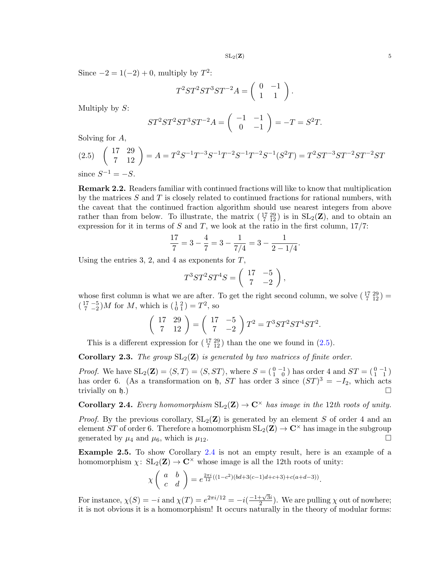Since  $-2 = 1(-2) + 0$ , multiply by  $T^2$ :

$$
T^2ST^2ST^3ST^{-2}A = \left(\begin{array}{cc} 0 & -1 \\ 1 & 1 \end{array}\right).
$$

Multiply by  $S$ :

$$
ST^2ST^2ST^3ST^{-2}A = \begin{pmatrix} -1 & -1 \\ 0 & -1 \end{pmatrix} = -T = S^2T.
$$

Solving for A,

<span id="page-4-0"></span>(2.5) 
$$
\begin{pmatrix} 17 & 29 \\ 7 & 12 \end{pmatrix} = A = T^2 S^{-1} T^{-3} S^{-1} T^{-2} S^{-1} T^{-2} S^{-1} (S^2 T) = T^2 S T^{-3} S T^{-2} S T^{-2} S T
$$
  
since  $S^{-1} = -S$ .

Remark 2.2. Readers familiar with continued fractions will like to know that multiplication by the matrices  $S$  and  $T$  is closely related to continued fractions for rational numbers, with the caveat that the continued fraction algorithm should use nearest integers from above rather than from below. To illustrate, the matrix  $(\frac{17}{7} \frac{29}{12})$  is in  $SL_2(\mathbb{Z})$ , and to obtain an expression for it in terms of  $S$  and  $T$ , we look at the ratio in the first column,  $17/7$ :

$$
\frac{17}{7} = 3 - \frac{4}{7} = 3 - \frac{1}{7/4} = 3 - \frac{1}{2 - 1/4}.
$$

Using the entries 3, 2, and 4 as exponents for  $T$ ,

$$
T^3ST^2ST^4S = \left(\begin{array}{cc} 17 & -5 \\ 7 & -2 \end{array}\right),
$$

whose first column is what we are after. To get the right second column, we solve  $\left(\begin{smallmatrix} 17 & 29 \\ 7 & 12 \end{smallmatrix}\right)$  =  $\left(\begin{smallmatrix} 17 & -5 \\ 7 & -2 \end{smallmatrix}\right)$ *M* for *M*, which is  $\left(\begin{smallmatrix} 1 & 2 \\ 0 & 1 \end{smallmatrix}\right) = T^2$ , so

$$
\left(\begin{array}{cc} 17 & 29 \\ 7 & 12 \end{array}\right) = \left(\begin{array}{cc} 17 & -5 \\ 7 & -2 \end{array}\right) T^2 = T^3 ST^2 ST^4 ST^2.
$$

This is a different expression for  $(\frac{17}{7} \frac{29}{12})$  than the one we found in  $(2.5)$ .

<span id="page-4-3"></span>**Corollary 2.3.** The group  $SL_2(\mathbb{Z})$  is generated by two matrices of finite order.

*Proof.* We have  $SL_2(\mathbf{Z}) = \langle S, T \rangle = \langle S, ST \rangle$ , where  $S = \begin{pmatrix} 0 & -1 \\ 1 & 0 \end{pmatrix}$  has order 4 and  $ST = \begin{pmatrix} 0 & -1 \\ 1 & 1 \end{pmatrix}$ has order 6. (As a transformation on b, ST has order 3 since  $(ST)^3 = -I_2$ , which acts trivially on  $\mathfrak{h}$ .)

<span id="page-4-1"></span>**Corollary 2.4.** Every homomorphism  $SL_2(\mathbf{Z}) \to \mathbf{C}^\times$  has image in the 12th roots of unity.

*Proof.* By the previous corollary,  $SL_2(\mathbf{Z})$  is generated by an element S of order 4 and an element ST of order 6. Therefore a homomorphism  $SL_2(\mathbf{Z}) \to \mathbf{C}^\times$  has image in the subgroup generated by  $\mu_4$  and  $\mu_6$ , which is  $\mu_{12}$ .

<span id="page-4-2"></span>Example 2.5. To show Corollary [2.4](#page-4-1) is not an empty result, here is an example of a homomorphism  $\chi: SL_2(\mathbf{Z}) \to \mathbf{C}^\times$  whose image is all the 12th roots of unity:

$$
\chi\left(\begin{array}{cc} a & b \\ c & d \end{array}\right) = e^{\frac{2\pi i}{12}((1-c^2)(bd+3(c-1)d+c+3)+c(a+d-3))}.
$$

For instance,  $\chi(S) = -i$  and  $\chi(T) = e^{2\pi i/12} = -i(\frac{-1+\sqrt{3}i}{2})$  $\frac{1+\sqrt{3}i}{2}$ ). We are pulling  $\chi$  out of nowhere; it is not obvious it is a homomorphism! It occurs naturally in the theory of modular forms: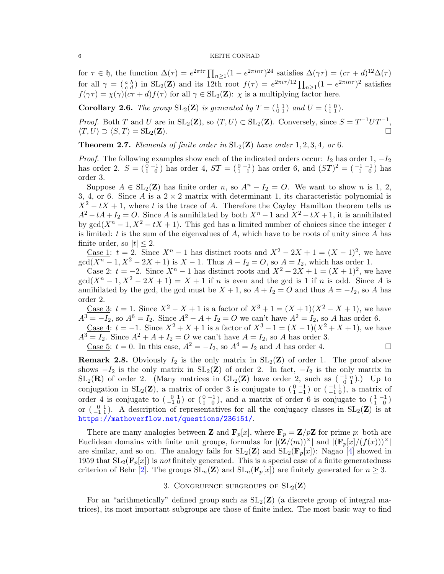for  $\tau \in \mathfrak{h}$ , the function  $\Delta(\tau) = e^{2\pi i \tau} \prod_{n \geq 1} (1 - e^{2\pi i n \tau})^{24}$  satisfies  $\Delta(\gamma \tau) = (c\tau + d)^{12} \Delta(\tau)$ for all  $\gamma = \begin{pmatrix} a & b \\ c & d \end{pmatrix}$  in  $SL_2(\mathbf{Z})$  and its 12th root  $f(\tau) = e^{2\pi i \tau/12} \prod_{n \geq 1} (1 - e^{2\pi i n \tau})^2$  satisfies  $f(\gamma \tau) = \chi(\gamma)(c\tau + d)f(\tau)$  for all  $\gamma \in SL_2(\mathbf{Z})$ :  $\chi$  is a multiplying factor here.

<span id="page-5-0"></span>**Corollary 2.6.** The group  $SL_2(\mathbf{Z})$  is generated by  $T = \begin{pmatrix} 1 & 1 \\ 0 & 1 \end{pmatrix}$  and  $U = \begin{pmatrix} 1 & 0 \\ 1 & 1 \end{pmatrix}$ .

*Proof.* Both T and U are in  $SL_2(\mathbf{Z})$ , so  $\langle T, U \rangle \subset SL_2(\mathbf{Z})$ . Conversely, since  $S = T^{-1}UT^{-1}$ ,  $\langle T, U \rangle \supset \langle S, T \rangle = SL_2(\mathbf{Z}).$ 

**Theorem 2.7.** Elements of finite order in  $SL_2(\mathbf{Z})$  have order 1, 2, 3, 4, or 6.

*Proof.* The following examples show each of the indicated orders occur:  $I_2$  has order 1,  $-I_2$ has order 2.  $S = \begin{pmatrix} 0 & -1 \\ 1 & 0 \end{pmatrix}$  has order 4,  $ST = \begin{pmatrix} 0 & -1 \\ 1 & 1 \end{pmatrix}$  has order 6, and  $(ST)^2 = \begin{pmatrix} -1 & -1 \\ 1 & 0 \end{pmatrix}$  has order 3.

Suppose  $A \in SL_2(\mathbb{Z})$  has finite order n, so  $A^n - I_2 = O$ . We want to show n is 1, 2, 3, 4, or 6. Since A is a  $2 \times 2$  matrix with determinant 1, its characteristic polynomial is  $X^2 - tX + 1$ , where t is the trace of A. Therefore the Cayley–Hamilton theorem tells us  $A^2 - tA + I_2 = O$ . Since A is annihilated by both  $X^n - 1$  and  $X^2 - tX + 1$ , it is annihilated by  $gcd(X^n - 1, X^2 - tX + 1)$ . This gcd has a limited number of choices since the integer t is limited:  $t$  is the sum of the eigenvalues of  $A$ , which have to be roots of unity since  $A$  has finite order, so  $|t| \leq 2$ .

<u>Case 1</u>:  $t = 2$ . Since  $X^n - 1$  has distinct roots and  $X^2 - 2X + 1 = (X - 1)^2$ , we have  $gcd(X^{n} - 1, X^{2} - 2X + 1)$  is  $X - 1$ . Thus  $A - I_{2} = O$ , so  $A = I_{2}$ , which has order 1.

<u>Case 2</u>:  $t = -2$ . Since  $X^n - 1$  has distinct roots and  $X^2 + 2X + 1 = (X + 1)^2$ , we have  $\gcd(X^{n}-1, X^{2}-2X+1)=X+1$  if n is even and the gcd is 1 if n is odd. Since A is annihilated by the gcd, the gcd must be  $X + 1$ , so  $A + I_2 = O$  and thus  $A = -I_2$ , so A has order 2.

Case 3:  $t = 1$ . Since  $X^2 - X + 1$  is a factor of  $X^3 + 1 = (X + 1)(X^2 - X + 1)$ , we have  $A^{3} = -I_{2}$ , so  $A^{6} = I_{2}$ . Since  $A^{2} - A + I_{2} = O$  we can't have  $A^{2} = I_{2}$ , so A has order 6.

<u>Case 4</u>:  $t = -1$ . Since  $X^2 + X + 1$  is a factor of  $X^3 - 1 = (X - 1)(X^2 + X + 1)$ , we have  $A<sup>3</sup> = I<sub>2</sub>$ . Since  $A<sup>2</sup> + A + I<sub>2</sub> = O$  we can't have  $A = I<sub>2</sub>$ , so A has order 3.

<u>Case 5</u>:  $t = 0$ . In this case,  $A^2 = -I_2$ , so  $A^4 = I_2$  and A has order 4.

**Remark 2.8.** Obviously  $I_2$  is the only matrix in  $SL_2(\mathbb{Z})$  of order 1. The proof above shows  $-I_2$  is the only matrix in  $SL_2(\mathbf{Z})$  of order 2. In fact,  $-I_2$  is the only matrix in  $SL_2(\mathbf{R})$  of order 2. (Many matrices in  $GL_2(\mathbf{Z})$  have order 2, such as  $\begin{pmatrix} -1 & n \\ 0 & 1 \end{pmatrix}$ .) Up to conjugation in  $SL_2(\mathbf{Z})$ , a matrix of order 3 is conjugate to  $\begin{pmatrix} 0 & -1 \\ 1 & -1 \end{pmatrix}$  or  $\begin{pmatrix} -1 & 1 \\ -1 & 0 \end{pmatrix}$ , a matrix of order 4 is conjugate to  $\begin{pmatrix} 0 & 1 \\ -1 & 0 \end{pmatrix}$  or  $\begin{pmatrix} 0 & -1 \\ 1 & 0 \end{pmatrix}$ , and a matrix of order 6 is conjugate to  $\begin{pmatrix} 1 & -1 \\ 1 & 0 \end{pmatrix}$ or  $\begin{pmatrix} 0 & 1 \\ -1 & 1 \end{pmatrix}$ . A description of representatives for all the conjugacy classes in  $SL_2(\mathbf{Z})$  is at [https://mathoverflow.net/questions/236151/](https://mathoverflow.net/questions/236151).

There are many analogies between **Z** and  $\mathbf{F}_p[x]$ , where  $\mathbf{F}_p = \mathbf{Z}/p\mathbf{Z}$  for prime p: both are Euclidean domains with finite unit groups, formulas for  $|(\mathbf{Z}/(m))^{\times}|$  and  $|(\mathbf{F}_p[x]/(f(x)))^{\times}|$ are similar, and so on. The analogy fails for  $SL_2(\mathbf{Z})$  and  $SL_2(\mathbf{F}_p[x])$ : Nagao [\[4\]](#page-17-0) showed in 1959 that  $SL_2(\mathbf{F}_p[x])$  is not finitely generated. This is a special case of a finite generatedness criterion of Behr [\[2\]](#page-17-1). The groups  $SL_n(\mathbf{Z})$  and  $SL_n(\mathbf{F}_p[x])$  are finitely generated for  $n \geq 3$ .

# 3. CONGRUENCE SUBGROUPS OF  $SL_2(\mathbf{Z})$

For an "arithmetically" defined group such as  $SL_2(\mathbb{Z})$  (a discrete group of integral matrices), its most important subgroups are those of finite index. The most basic way to find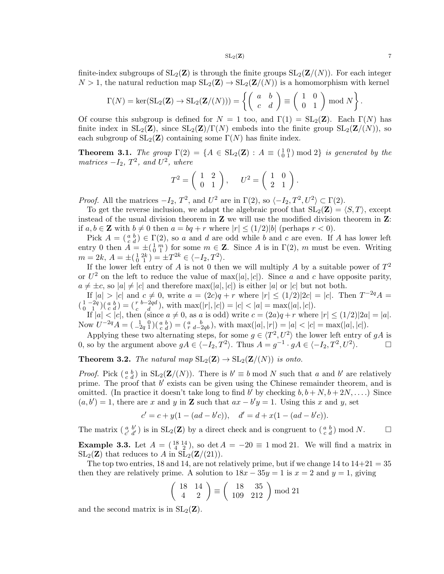finite-index subgroups of  $SL_2(\mathbf{Z})$  is through the finite groups  $SL_2(\mathbf{Z}/(N))$ . For each integer  $N > 1$ , the natural reduction map  $SL_2(\mathbf{Z}) \to SL_2(\mathbf{Z}/(N))$  is a homomorphism with kernel

$$
\Gamma(N) = \ker(\operatorname{SL}_2(\mathbf{Z}) \to \operatorname{SL}_2(\mathbf{Z}/(N))) = \left\{ \begin{pmatrix} a & b \\ c & d \end{pmatrix} \equiv \begin{pmatrix} 1 & 0 \\ 0 & 1 \end{pmatrix} \bmod N \right\}.
$$

Of course this subgroup is defined for  $N = 1$  too, and  $\Gamma(1) = SL_2(\mathbf{Z})$ . Each  $\Gamma(N)$  has finite index in  $SL_2(\mathbf{Z})$ , since  $SL_2(\mathbf{Z})/\Gamma(N)$  embeds into the finite group  $SL_2(\mathbf{Z}/(N))$ , so each subgroup of  $SL_2(\mathbf{Z})$  containing some  $\Gamma(N)$  has finite index.

<span id="page-6-0"></span>**Theorem 3.1.** The group  $\Gamma(2) = \{A \in SL_2(\mathbb{Z}) : A \equiv \begin{pmatrix} 1 & 0 \\ 0 & 1 \end{pmatrix} \bmod 2\}$  is generated by the matrices  $-I_2$ ,  $T^2$ , and  $U^2$ , where

$$
T^2 = \left(\begin{array}{cc} 1 & 2 \\ 0 & 1 \end{array}\right), \quad U^2 = \left(\begin{array}{cc} 1 & 0 \\ 2 & 1 \end{array}\right).
$$

*Proof.* All the matrices  $-I_2$ ,  $T^2$ , and  $U^2$  are in  $\Gamma(2)$ , so  $\langle -I_2, T^2, U^2 \rangle \subset \Gamma(2)$ .

To get the reverse inclusion, we adapt the algebraic proof that  $SL_2(\mathbf{Z}) = \langle S, T \rangle$ , except instead of the usual division theorem in **Z** we will use the modified division theorem in **Z**: if  $a, b \in \mathbb{Z}$  with  $b \neq 0$  then  $a = bq + r$  where  $|r| \leq (1/2)|b|$  (perhaps  $r < 0$ ).

Pick  $A = \begin{pmatrix} a & b \\ c & d \end{pmatrix} \in \Gamma(2)$ , so a and d are odd while b and c are even. If A has lower left entry 0 then  $\tilde{A} = \pm (\begin{smallmatrix} 1 & m \\ 0 & 1 \end{smallmatrix})$  for some  $m \in \mathbb{Z}$ . Since A is in  $\Gamma(2)$ , m must be even. Writing  $m = 2k, A = \pm(\begin{smallmatrix} 1 & 2k \\ 0 & 1 \end{smallmatrix}) = \pm T^{2k} \in \langle -I_2, T^2 \rangle.$ 

If the lower left entry of A is not 0 then we will multiply A by a suitable power of  $T^2$ or  $U^2$  on the left to reduce the value of max(|a|, |c|). Since a and c have opposite parity,  $a \neq \pm c$ , so  $|a| \neq |c|$  and therefore  $\max(|a|, |c|)$  is either  $|a|$  or  $|c|$  but not both.

If  $|a| > |c|$  and  $c \neq 0$ , write  $a = (2c)q + r$  where  $|r| \leq (1/2)|2c| = |c|$ . Then  $T^{-2q}A =$  $\binom{1-2q}{0\quad 1}$  $\binom{a}{c\ d}$  =  $\binom{r}{c\ d}$ , with  $\max(|r|, |c|) = |c| < |a| = \max(|a|, |c|)$ .

If  $|a| < |c|$ , then (since  $a \neq 0$ , as a is odd) write  $c = (2a)q + r$  where  $|r| \leq (1/2)|2a| = |a|$ . Now  $U^{-2q}A = \begin{pmatrix} 1 & 0 \\ -2q & 1 \end{pmatrix} \begin{pmatrix} a & b \\ c & d \end{pmatrix} = \begin{pmatrix} a & b \\ r & d-2qb \end{pmatrix}$ , with  $\max(|a|, |r|) = |a| < |c| = \max(|a|, |c|)$ .

Applying these two alternating steps, for some  $g \in \langle T^2, U^2 \rangle$  the lower left entry of gA is 0, so by the argument above  $gA \in \langle -I_2, T^2 \rangle$ . Thus  $A = g^{-1} \cdot gA \in \langle -I_2, T^2, U^2 \rangle$ .

<span id="page-6-1"></span>**Theorem 3.2.** The natural map  $SL_2(\mathbf{Z}) \to SL_2(\mathbf{Z}/(N))$  is onto.

*Proof.* Pick  $\binom{a}{c}\binom{b}{d}$  in  $SL_2(\mathbf{Z}/(N))$ . There is  $b' \equiv b \mod N$  such that a and b' are relatively prime. The proof that  $b'$  exists can be given using the Chinese remainder theorem, and is omitted. (In practice it doesn't take long to find b' by checking  $b, b + N, b + 2N, \ldots$ .) Since  $(a, b') = 1$ , there are x and y in **Z** such that  $ax - b'y = 1$ . Using this x and y, set

$$
c' = c + y(1 - (ad - b'c)), \quad d' = d + x(1 - (ad - b'c)).
$$

The matrix  $\begin{pmatrix} a & b' \\ c' & d' \end{pmatrix}$  is in  $SL_2(\mathbf{Z})$  by a direct check and is congruent to  $\begin{pmatrix} a & b \\ c & d \end{pmatrix}$  mod N. **Example 3.3.** Let  $A = \begin{pmatrix} 18 & 14 \\ 4 & 2 \end{pmatrix}$ , so det  $A = -20 \equiv 1 \mod 21$ . We will find a matrix in

 $SL_2(\mathbf{Z})$  that reduces to A in  $SL_2(\mathbf{Z}/(21))$ . The top two entries, 18 and 14, are not relatively prime, but if we change 14 to  $14+21=35$ then they are relatively prime. A solution to  $18x - 35y = 1$  is  $x = 2$  and  $y = 1$ , giving

$$
\left(\begin{array}{cc} 18 & 14\\ 4 & 2 \end{array}\right) \equiv \left(\begin{array}{cc} 18 & 35\\ 109 & 212 \end{array}\right) \bmod 21
$$

and the second matrix is in  $SL_2(\mathbf{Z})$ .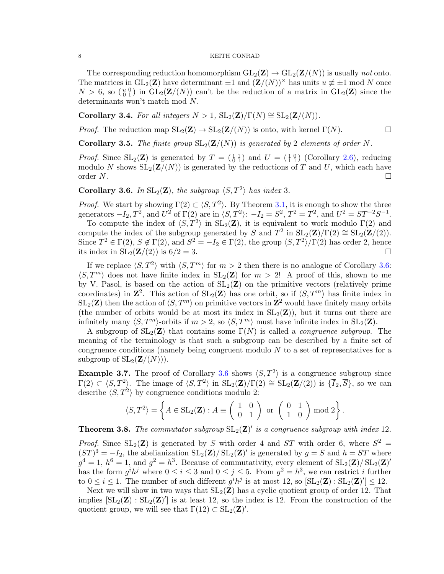The corresponding reduction homomorphism  $GL_2(\mathbf{Z}) \to GL_2(\mathbf{Z}/(N))$  is usually not onto. The matrices in  $GL_2(\mathbf{Z})$  have determinant  $\pm 1$  and  $(\mathbf{Z}/(N))^{\times}$  has units  $u \neq \pm 1$  mod N once  $N > 6$ , so  $\binom{u}{0}$  in  $GL_2(\mathbf{Z}/(N))$  can't be the reduction of a matrix in  $GL_2(\mathbf{Z})$  since the determinants won't match mod N.

<span id="page-7-1"></span>Corollary 3.4. For all integers  $N > 1$ ,  $SL_2(\mathbf{Z})/\Gamma(N) \cong SL_2(\mathbf{Z}/(N))$ .

*Proof.* The reduction map  $SL_2(\mathbf{Z}) \to SL_2(\mathbf{Z}/(N))$  is onto, with kernel  $\Gamma(N)$ .

<span id="page-7-2"></span>**Corollary 3.5.** The finite group  $SL_2(\mathbb{Z}/(N))$  is generated by 2 elements of order N.

*Proof.* Since  $SL_2(\mathbf{Z})$  is generated by  $T = \begin{pmatrix} 1 & 1 \\ 0 & 1 \end{pmatrix}$  and  $U = \begin{pmatrix} 1 & 0 \\ 1 & 1 \end{pmatrix}$  (Corollary [2.6\)](#page-5-0), reducing modulo N shows  $SL_2(\mathbf{Z}/(N))$  is generated by the reductions of T and U, which each have order  $N$ .

<span id="page-7-0"></span>**Corollary 3.6.** In  $SL_2(\mathbf{Z})$ , the subgroup  $\langle S, T^2 \rangle$  has index 3.

*Proof.* We start by showing  $\Gamma(2) \subset \langle S, T^2 \rangle$ . By Theorem [3.1,](#page-6-0) it is enough to show the three generators  $-I_2, T^2$ , and  $U^2$  of  $\Gamma(2)$  are in  $\langle S, T^2 \rangle: -I_2 = S^2, T^2 = T^2$ , and  $U^2 = ST^{-2}S^{-1}$ .

To compute the index of  $\langle S, T^2 \rangle$  in  $SL_2(\mathbf{Z})$ , it is equivalent to work modulo  $\Gamma(2)$  and compute the index of the subgroup generated by S and  $T^2$  in  $SL_2(\mathbf{Z})/\Gamma(2) \cong SL_2(\mathbf{Z}/(2)).$ Since  $T^2 \in \Gamma(2)$ ,  $S \notin \Gamma(2)$ , and  $S^2 = -I_2 \in \Gamma(2)$ , the group  $\langle S, T^2 \rangle / \Gamma(2)$  has order 2, hence its index in  $SL_2(\mathbf{Z}/(2))$  is  $6/2 = 3$ .

If we replace  $\langle S, T^2 \rangle$  with  $\langle S, T^m \rangle$  for  $m > 2$  then there is no analogue of Corollary [3.6:](#page-7-0)  $\langle S, T^m \rangle$  does not have finite index in  $SL_2(\mathbb{Z})$  for  $m > 2!$  A proof of this, shown to me by V. Pasol, is based on the action of  $SL_2(\mathbf{Z})$  on the primitive vectors (relatively prime coordinates) in  $\mathbb{Z}^2$ . This action of  $SL_2(\mathbb{Z})$  has one orbit, so if  $\langle S, T^m \rangle$  has finite index in  $\mathrm{SL}_2(\mathbf{Z})$  then the action of  $\langle S, T^m \rangle$  on primitive vectors in  $\mathbf{Z}^2$  would have finitely many orbits (the number of orbits would be at most its index in  $SL_2(\mathbb{Z})$ ), but it turns out there are infinitely many  $\langle S, T^m \rangle$ -orbits if  $m > 2$ , so  $\langle S, T^m \rangle$  must have infinite index in  $SL_2(\mathbf{Z})$ .

A subgroup of  $SL_2(\mathbf{Z})$  that contains some  $\Gamma(N)$  is called a *congruence subgroup*. The meaning of the terminology is that such a subgroup can be described by a finite set of congruence conditions (namely being congruent modulo  $N$  to a set of representatives for a subgroup of  $SL_2(\mathbf{Z}/(N))$ .

**Example 3.7.** The proof of Corollary [3.6](#page-7-0) shows  $\langle S, T^2 \rangle$  is a congruence subgroup since  $\Gamma(2) \subset \langle S, T^2 \rangle$ . The image of  $\langle S, T^2 \rangle$  in  $SL_2(\mathbf{Z})/\Gamma(2) \cong SL_2(\mathbf{Z}/(2))$  is  $\{\overline{I}_2, \overline{S}\}$ , so we can describe  $\langle S, T^2 \rangle$  by congruence conditions modulo 2:

$$
\langle S, T^2 \rangle = \left\{ A \in SL_2(\mathbf{Z}) : A \equiv \left( \begin{array}{cc} 1 & 0 \\ 0 & 1 \end{array} \right) \text{ or } \left( \begin{array}{cc} 0 & 1 \\ 1 & 0 \end{array} \right) \text{ mod } 2 \right\}.
$$

**Theorem 3.8.** The commutator subgroup  $SL_2(\mathbf{Z})'$  is a congruence subgroup with index 12.

*Proof.* Since  $SL_2(\mathbb{Z})$  is generated by S with order 4 and ST with order 6, where  $S^2 =$  $(ST)^3 = -I_2$ , the abelianization  $SL_2(\mathbb{Z})/SL_2(\mathbb{Z})'$  is generated by  $g = \overline{S}$  and  $h = \overline{ST}$  where  $g^4 = 1, h^6 = 1$ , and  $g^2 = h^3$ . Because of commutativity, every element of  $SL_2(\mathbf{Z})/SL_2(\mathbf{Z})'$ has the form  $g^i h^j$  where  $0 \le i \le 3$  and  $0 \le j \le 5$ . From  $g^2 = h^3$ , we can restrict i further to  $0 \leq i \leq 1$ . The number of such different  $g^{i}h^{j}$  is at most 12, so  $[\text{SL}_2(\mathbf{Z}) : \text{SL}_2(\mathbf{Z})'] \leq 12$ .

Next we will show in two ways that  $SL_2(\mathbf{Z})$  has a cyclic quotient group of order 12. That implies  $[\text{SL}_2(\mathbf{Z}) : \text{SL}_2(\mathbf{Z})']$  is at least 12, so the index is 12. From the construction of the quotient group, we will see that  $\Gamma(12) \subset SL_2(\mathbf{Z})'$ .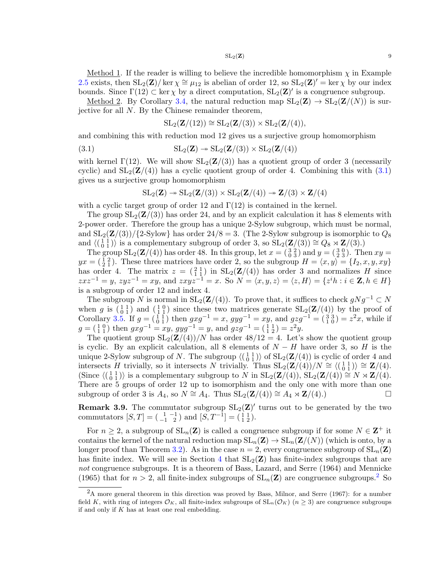Method 1. If the reader is willing to believe the incredible homomorphism  $\chi$  in Example [2.5](#page-4-2) exists, then  $SL_2(\mathbf{Z})/$  ker  $\chi \cong \mu_{12}$  is abelian of order 12, so  $SL_2(\mathbf{Z})' = \ker \chi$  by our index bounds. Since  $\Gamma(12) \subset \ker \chi$  by a direct computation,  $SL_2(\mathbf{Z})'$  is a congruence subgroup.

Method 2. By Corollary [3.4,](#page-7-1) the natural reduction map  $SL_2(\mathbf{Z}) \to SL_2(\mathbf{Z}/(N))$  is surjective for all N. By the Chinese remainder theorem,

<span id="page-8-0"></span>
$$
\operatorname{SL}_2(\mathbf{Z}/(12)) \cong \operatorname{SL}_2(\mathbf{Z}/(3)) \times \operatorname{SL}_2(\mathbf{Z}/(4)),
$$

and combining this with reduction mod 12 gives us a surjective group homomorphism

(3.1) 
$$
SL_2(\mathbf{Z}) \twoheadrightarrow SL_2(\mathbf{Z}/(3)) \times SL_2(\mathbf{Z}/(4))
$$

with kernel  $\Gamma(12)$ . We will show  $SL_2(\mathbf{Z}/(3))$  has a quotient group of order 3 (necessarily cyclic) and  $SL_2(\mathbf{Z}/(4))$  has a cyclic quotient group of order 4. Combining this with [\(3.1\)](#page-8-0) gives us a surjective group homomorphism

$$
\operatorname{SL}_2(\mathbf{Z}) \twoheadrightarrow \operatorname{SL}_2(\mathbf{Z}/(3)) \times \operatorname{SL}_2(\mathbf{Z}/(4)) \twoheadrightarrow \mathbf{Z}/(3) \times \mathbf{Z}/(4)
$$

with a cyclic target group of order 12 and  $\Gamma(12)$  is contained in the kernel.

The group  $SL_2(\mathbf{Z}/(3))$  has order 24, and by an explicit calculation it has 8 elements with 2-power order. Therefore the group has a unique 2-Sylow subgroup, which must be normal, and  $SL_2(\mathbf{Z}/(3))/\{2\}$ -Sylow} has order  $24/8 = 3$ . (The 2-Sylow subgroup is isomorphic to  $Q_8$ and  $\langle \begin{pmatrix} 1 & 1 \\ 0 & 1 \end{pmatrix} \rangle$  is a complementary subgroup of order 3, so  $SL_2(\mathbf{Z}/(3)) \cong Q_8 \rtimes \mathbf{Z}/(3)$ .)

The group  $SL_2(\mathbf{Z}/(4))$  has order 48. In this group, let  $x = \begin{pmatrix} 3 & 2 \\ 0 & 3 \end{pmatrix}$  and  $y = \begin{pmatrix} 3 & 0 \\ 2 & 3 \end{pmatrix}$ . Then  $xy =$  $yx = (\frac{1}{2}, \frac{2}{1})$ . These three matrices have order 2, so the subgroup  $H = \langle x, y \rangle = \{I_2, x, y, xy\}$ has order 4. The matrix  $z = \begin{pmatrix} 2 & 1 \\ 1 & 1 \end{pmatrix}$  in  $SL_2(\mathbf{Z}/(4))$  has order 3 and normalizes H since  $z x z^{-1} = y$ ,  $z y z^{-1} = x y$ , and  $z x y z^{-1} = x$ . So  $N = \langle x, y, z \rangle = \langle z, H \rangle = \{z^{i} h : i \in \mathbb{Z}, h \in H\}$ is a subgroup of order 12 and index 4.

The subgroup N is normal in  $SL_2(\mathbf{Z}/(4))$ . To prove that, it suffices to check  $gNg^{-1} \subset N$ when g is  $(\begin{smallmatrix} 1 & 1 \\ 0 & 1 \end{smallmatrix})$  and  $(\begin{smallmatrix} 1 & 0 \\ 1 & 1 \end{smallmatrix})$  since these two matrices generate  $SL_2(\mathbf{Z}/(4))$  by the proof of Corollary [3.5.](#page-7-2) If  $g = (\begin{matrix} 1 & 1 \\ 0 & 1 \end{matrix})$  then  $gxg^{-1} = x$ ,  $gyg^{-1} = xy$ , and  $gzg^{-1} = (\begin{matrix} 3 & 3 \\ 1 & 0 \end{matrix}) = z^2x$ , while if  $g = \begin{pmatrix} 1 & 0 \\ 1 & 1 \end{pmatrix}$  then  $gxg^{-1} = xy$ ,  $gyg^{-1} = y$ , and  $gzg^{-1} = \begin{pmatrix} 1 & 1 \\ 1 & 2 \end{pmatrix} = z^2y$ .

The quotient group  $SL_2(\mathbf{Z}/(4))/N$  has order  $48/12 = 4$ . Let's show the quotient group is cyclic. By an explicit calculation, all 8 elements of  $N - H$  have order 3, so H is the unique 2-Sylow subgroup of N. The subgroup  $\langle \begin{pmatrix} 1 & 1 \\ 0 & 1 \end{pmatrix} \rangle$  of  $SL_2(\mathbf{Z}/(4))$  is cyclic of order 4 and intersects H trivially, so it intersects N trivially. Thus  $SL_2(\mathbf{Z}/(4))/N \cong \langle \begin{pmatrix} 1 & 1 \\ 0 & 1 \end{pmatrix} \rangle \cong \mathbf{Z}/(4)$ . (Since  $\langle \begin{pmatrix} 1 & 1 \\ 0 & 1 \end{pmatrix} \rangle$  is a complementary subgroup to N in  $SL_2(\mathbf{Z}/(4))$ ,  $SL_2(\mathbf{Z}/(4)) \cong N \rtimes \mathbf{Z}/(4)$ . There are 5 groups of order 12 up to isomorphism and the only one with more than one subgroup of order 3 is  $A_4$ , so  $N \cong A_4$ . Thus  $SL_2(\mathbf{Z}/(4)) \cong A_4 \rtimes \mathbf{Z}/(4)$ .)

**Remark 3.9.** The commutator subgroup  $SL_2(\mathbb{Z})'$  turns out to be generated by the two commutators  $[S, T] = \begin{pmatrix} 1 & -1 \\ -1 & 2 \end{pmatrix}$  and  $[S, T^{-1}] = \begin{pmatrix} 1 & 1 \\ 1 & 2 \end{pmatrix}$ .

For  $n \geq 2$ , a subgroup of  $SL_n(\mathbf{Z})$  is called a congruence subgroup if for some  $N \in \mathbf{Z}^+$  it contains the kernel of the natural reduction map  $SL_n(\mathbf{Z}) \to SL_n(\mathbf{Z}/(N))$  (which is onto, by a longer proof than Theorem [3.2\)](#page-6-1). As in the case  $n = 2$ , every congruence subgroup of  $SL_n(\mathbf{Z})$ has finite index. We will see in Section [4](#page-9-0) that  $SL_2(\mathbf{Z})$  has finite-index subgroups that are not congruence subgroups. It is a theorem of Bass, Lazard, and Serre (1964) and Mennicke (1965) that for  $n > 2$  $n > 2$ , all finite-index subgroups of  $SL_n(\mathbf{Z})$  are congruence subgroups.<sup>2</sup> So

<span id="page-8-1"></span><sup>&</sup>lt;sup>2</sup>A more general theorem in this direction was proved by Bass, Milnor, and Serre (1967): for a number field K, with ring of integers  $\mathcal{O}_K$ , all finite-index subgroups of  $SL_n(\mathcal{O}_K)$   $(n \geq 3)$  are congruence subgroups if and only if  $K$  has at least one real embedding.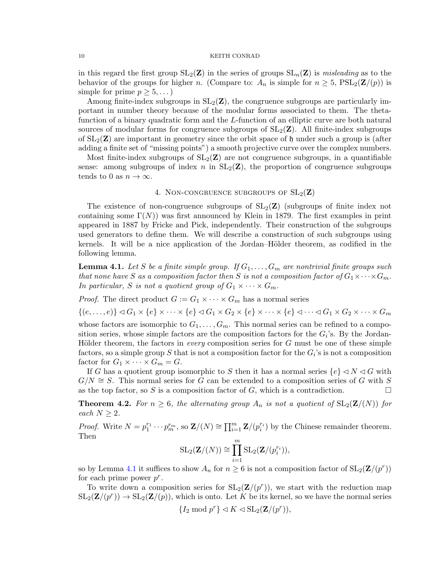in this regard the first group  $SL_2(\mathbf{Z})$  in the series of groups  $SL_n(\mathbf{Z})$  is misleading as to the behavior of the groups for higher n. (Compare to:  $A_n$  is simple for  $n \geq 5$ ,  $PSL_2(\mathbf{Z}/(p))$  is simple for prime  $p \geq 5, \ldots$ )

Among finite-index subgroups in  $SL_2(\mathbb{Z})$ , the congruence subgroups are particularly important in number theory because of the modular forms associated to them. The thetafunction of a binary quadratic form and the L-function of an elliptic curve are both natural sources of modular forms for congruence subgroups of  $SL_2(\mathbf{Z})$ . All finite-index subgroups of  $SL_2(\mathbb{Z})$  are important in geometry since the orbit space of h under such a group is (after adding a finite set of "missing points") a smooth projective curve over the complex numbers.

Most finite-index subgroups of  $SL_2(\mathbf{Z})$  are not congruence subgroups, in a quantifiable sense: among subgroups of index n in  $SL_2(\mathbf{Z})$ , the proportion of congruence subgroups tends to 0 as  $n \to \infty$ .

# 4. NON-CONGRUENCE SUBGROUPS OF  $SL_2(\mathbf{Z})$

<span id="page-9-0"></span>The existence of non-congruence subgroups of  $SL_2(\mathbf{Z})$  (subgroups of finite index not containing some  $\Gamma(N)$ ) was first announced by Klein in 1879. The first examples in print appeared in 1887 by Fricke and Pick, independently. Their construction of the subgroups used generators to define them. We will describe a construction of such subgroups using kernels. It will be a nice application of the Jordan–Hölder theorem, as codified in the following lemma.

<span id="page-9-1"></span>**Lemma 4.1.** Let S be a finite simple group. If  $G_1, \ldots, G_m$  are nontrivial finite groups such that none have S as a composition factor then S is not a composition factor of  $G_1 \times \cdots \times G_m$ . In particular, S is not a quotient group of  $G_1 \times \cdots \times G_m$ .

*Proof.* The direct product  $G := G_1 \times \cdots \times G_m$  has a normal series

 $\{(e, \ldots, e)\}\triangleleft G_1\times\{e\}\times\cdots\times\{e\}\triangleleft G_1\times G_2\times\{e\}\times\cdots\times\{e\}\triangleleft\cdots\triangleleft G_1\times G_2\times\cdots\times G_m\}$ 

whose factors are isomorphic to  $G_1, \ldots, G_m$ . This normal series can be refined to a composition series, whose simple factors are the composition factors for the  $G_i$ 's. By the Jordan-Hölder theorem, the factors in *every* composition series for  $G$  must be one of these simple factors, so a simple group S that is not a composition factor for the  $G_i$ 's is not a composition factor for  $G_1 \times \cdots \times G_m = G$ .

If G has a quotient group isomorphic to S then it has a normal series  $\{e\} \lhd N \lhd G$  with  $G/N \cong S$ . This normal series for G can be extended to a composition series of G with S as the top factor, so S is a composition factor of G, which is a contradiction.  $\Box$ 

<span id="page-9-2"></span>**Theorem 4.2.** For  $n \geq 6$ , the alternating group  $A_n$  is not a quotient of  $SL_2(\mathbf{Z}/(N))$  for each  $N \geq 2$ .

*Proof.* Write  $N = p_1^{r_1} \cdots p_m^{r_m}$ , so  $\mathbf{Z}/(N) \cong \prod_{i=1}^m \mathbf{Z}/(p_i^{r_i})$  by the Chinese remainder theorem. Then

$$
SL_2(\mathbf{Z}/(N)) \cong \prod_{i=1}^m SL_2(\mathbf{Z}/(p_i^{r_i})),
$$

so by Lemma [4.1](#page-9-1) it suffices to show  $A_n$  for  $n \geq 6$  is not a composition factor of  $SL_2(\mathbf{Z}/(p^r))$ for each prime power  $p^r$ .

To write down a composition series for  $SL_2(\mathbf{Z}/(p^r))$ , we start with the reduction map  $SL_2(\mathbf{Z}/(p^r)) \to SL_2(\mathbf{Z}/(p))$ , which is onto. Let K be its kernel, so we have the normal series

$$
\{I_2 \bmod p^r\} \lhd K \lhd \operatorname{SL}_2(\mathbf{Z}/(p^r)),
$$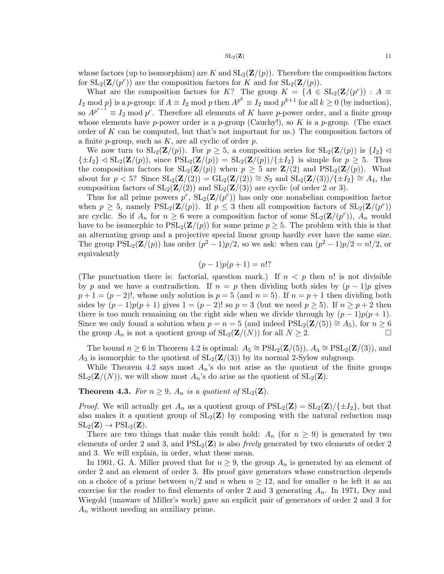whose factors (up to isomorphism) are K and  $SL_2(\mathbf{Z}/p)$ . Therefore the composition factors for  $SL_2(\mathbf{Z}/(p^r))$  are the composition factors for K and for  $SL_2(\mathbf{Z}/(p))$ .

What are the composition factors for K? The group  $K = \{A \in SL_2(\mathbf{Z}/(p^r)): A \equiv \emptyset\}$  $I_2 \mod p$  is a p-group: if  $A \equiv I_2 \mod p$  then  $A^{p^k} \equiv I_2 \mod p^{k+1}$  for all  $k \ge 0$  (by induction), so  $A^{p^{r-1}} \equiv I_2 \mod p^r$ . Therefore all elements of K have p-power order, and a finite group whose elements have p-power order is a p-group (Cauchy!), so K is a p-group. (The exact order of K can be computed, but that's not important for us.) The composition factors of a finite  $p$ -group, such as  $K$ , are all cyclic of order  $p$ .

We now turn to  $SL_2(\mathbf{Z}/p)$ . For  $p \geq 5$ , a composition series for  $SL_2(\mathbf{Z}/p)$  is  $\{I_2\} \triangleleft$  $\{\pm I_2\} \triangleleft SL_2(\mathbf{Z}/(p)),$  since  $PSL_2(\mathbf{Z}/(p)) = SL_2(\mathbf{Z}/(p))/\{\pm I_2\}$  is simple for  $p \geq 5$ . Thus the composition factors for  $SL_2(\mathbf{Z}/(p))$  when  $p \geq 5$  are  $\mathbf{Z}/(2)$  and  $PSL_2(\mathbf{Z}/(p))$ . What about for  $p < 5$ ? Since  $SL_2(\mathbf{Z}/(2)) = GL_2(\mathbf{Z}/(2)) \cong S_3$  and  $SL_2(\mathbf{Z}/(3))/\{\pm I_2\} \cong A_4$ , the composition factors of  $SL_2(\mathbf{Z}/(2))$  and  $SL_2(\mathbf{Z}/(3))$  are cyclic (of order 2 or 3).

Thus for all prime powers  $p^r$ ,  $SL_2(\mathbf{Z}/(p^r))$  has only one nonabelian composition factor when  $p \geq 5$ , namely  $PSL_2(\mathbf{Z}/(p))$ . If  $p \leq 3$  then all composition factors of  $SL_2(\mathbf{Z}/(p^r))$ are cyclic. So if  $A_n$  for  $n \geq 6$  were a composition factor of some  $SL_2(\mathbf{Z}/(p^r))$ ,  $A_n$  would have to be isomorphic to  $PSL_2(\mathbf{Z}/(p))$  for some prime  $p \geq 5$ . The problem with this is that an alternating group and a projective special linear group hardly ever have the same size. The group  $PSL_2(\mathbf{Z}/(p))$  has order  $(p^2-1)p/2$ , so we ask: when can  $(p^2-1)p/2 = n!/2$ , or equivalently

$$
(p-1)p(p+1) = n!?
$$

(The punctuation there is: factorial, question mark.) If  $n < p$  then n! is not divisible by p and we have a contradiction. If  $n = p$  then dividing both sides by  $(p - 1)p$  gives  $p+1=(p-2)!$ , whose only solution is  $p=5$  (and  $n=5$ ). If  $n=p+1$  then dividing both sides by  $(p-1)p(p+1)$  gives  $1=(p-2)!$  so  $p=3$  (but we need  $p\geq 5$ ). If  $n\geq p+2$  then there is too much remaining on the right side when we divide through by  $(p-1)p(p+1)$ . Since we only found a solution when  $p = n = 5$  (and indeed  $PSL_2(\mathbf{Z}/(5)) \cong A_5$ ), for  $n \geq 6$ the group  $A_n$  is not a quotient group of  $SL_2(\mathbf{Z}/(N))$  for all  $N \geq 2$ .

The bound  $n \geq 6$  in Theorem [4.2](#page-9-2) is optimal:  $A_5 \cong \text{PSL}_2(\mathbf{Z}/(5)), A_4 \cong \text{PSL}_2(\mathbf{Z}/(3)),$  and  $A_3$  is isomorphic to the quotient of  $SL_2(\mathbf{Z}/(3))$  by its normal 2-Sylow subgroup.

While Theorem [4.2](#page-9-2) says most  $A_n$ 's do not arise as the quotient of the finite groups  $SL_2(\mathbf{Z}/(N))$ , we will show most  $A_n$ 's do arise as the quotient of  $SL_2(\mathbf{Z})$ .

<span id="page-10-0"></span>**Theorem 4.3.** For  $n \geq 9$ ,  $A_n$  is a quotient of  $SL_2(\mathbf{Z})$ .

*Proof.* We will actually get  $A_n$  as a quotient group of  $PSL_2(\mathbf{Z}) = SL_2(\mathbf{Z})/\{\pm I_2\}$ , but that also makes it a quotient group of  $SL_2(\mathbb{Z})$  by composing with the natural reduction map  $SL_2(\mathbf{Z}) \to PSL_2(\mathbf{Z}).$ 

There are two things that make this result hold:  $A_n$  (for  $n \geq 9$ ) is generated by two elements of order 2 and 3, and  $PSL_2(\mathbf{Z})$  is also *freely* generated by two elements of order 2 and 3. We will explain, in order, what these mean.

In 1901, G. A. Miller proved that for  $n \geq 9$ , the group  $A_n$  is generated by an element of order 2 and an element of order 3. His proof gave generators whose construction depends on a choice of a prime between  $n/2$  and n when  $n \geq 12$ , and for smaller n he left it as an exercise for the reader to find elements of order 2 and 3 generating  $A_n$ . In 1971, Dey and Wiegold (unaware of Miller's work) gave an explicit pair of generators of order 2 and 3 for  $A_n$  without needing an auxiliary prime.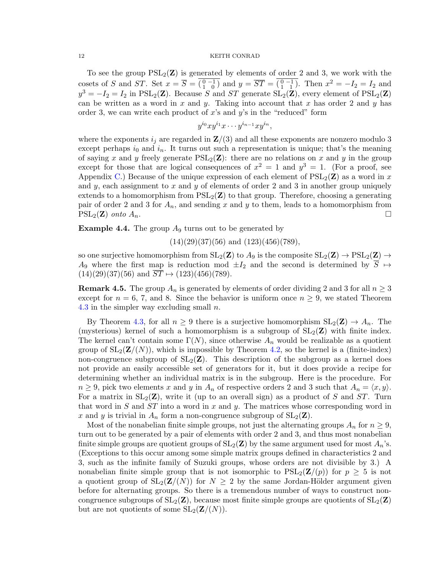To see the group  $PSL_2(\mathbf{Z})$  is generated by elements of order 2 and 3, we work with the cosets of S and ST. Set  $x = \overline{S} = \overline{\left(\begin{smallmatrix} 0 & -1 \\ 1 & 0 \end{smallmatrix}\right)}$  and  $y = \overline{ST} = \overline{\left(\begin{smallmatrix} 0 & -1 \\ 1 & 1 \end{smallmatrix}\right)}$ . Then  $x^2 = -I_2 = I_2$  and  $y^3 = -I_2 = I_2$  in PSL<sub>2</sub>(**Z**). Because S and ST generate SL<sub>2</sub>(**Z**), every element of PSL<sub>2</sub>(**Z**) can be written as a word in  $x$  and  $y$ . Taking into account that  $x$  has order 2 and  $y$  has order 3, we can write each product of  $x$ 's and  $y$ 's in the "reduced" form

$$
y^{i_0}xy^{i_1}x\cdots y^{i_{n-1}}xy^{i_n},
$$

where the exponents  $i_j$  are regarded in  $\mathbf{Z}/(3)$  and all these exponents are nonzero modulo 3 except perhaps  $i_0$  and  $i_n$ . It turns out such a representation is unique; that's the meaning of saying x and y freely generate  $PSL_2(\mathbf{Z})$ : there are no relations on x and y in the group except for those that are logical consequences of  $x^2 = 1$  and  $y^3 = 1$ . (For a proof, see Appendix [C.](#page-15-0)) Because of the unique expression of each element of  $PSL_2(\mathbf{Z})$  as a word in x and y, each assignment to x and y of elements of order 2 and 3 in another group uniquely extends to a homomorphism from  $PSL_2(\mathbf{Z})$  to that group. Therefore, choosing a generating pair of order 2 and 3 for  $A_n$ , and sending x and y to them, leads to a homomorphism from  $\text{PSL}_2(\mathbf{Z})$  onto  $A_n$ .

**Example 4.4.** The group  $A_9$  turns out to be generated by

 $(14)(29)(37)(56)$  and  $(123)(456)(789)$ ,

so one surjective homomorphism from  $SL_2(\mathbf{Z})$  to  $A_9$  is the composite  $SL_2(\mathbf{Z}) \to PSL_2(\mathbf{Z}) \to$ A<sub>9</sub> where the first map is reduction mod  $\pm I_2$  and the second is determined by  $S \mapsto$  $(14)(29)(37)(56)$  and  $\overline{ST} \mapsto (123)(456)(789)$ .

**Remark 4.5.** The group  $A_n$  is generated by elements of order dividing 2 and 3 for all  $n \geq 3$ except for  $n = 6, 7$ , and 8. Since the behavior is uniform once  $n \geq 9$ , we stated Theorem [4.3](#page-10-0) in the simpler way excluding small  $n$ .

By Theorem [4.3,](#page-10-0) for all  $n \geq 9$  there is a surjective homomorphism  $SL_2(\mathbf{Z}) \to A_n$ . The (mysterious) kernel of such a homomorphism is a subgroup of  $SL_2(\mathbb{Z})$  with finite index. The kernel can't contain some  $\Gamma(N)$ , since otherwise  $A_n$  would be realizable as a quotient group of  $SL_2(\mathbf{Z}/(N))$ , which is impossible by Theorem [4.2,](#page-9-2) so the kernel is a (finite-index) non-congruence subgroup of  $SL_2(\mathbf{Z})$ . This description of the subgroup as a kernel does not provide an easily accessible set of generators for it, but it does provide a recipe for determining whether an individual matrix is in the subgroup. Here is the procedure. For  $n \geq 9$ , pick two elements x and y in  $A_n$  of respective orders 2 and 3 such that  $A_n = \langle x, y \rangle$ . For a matrix in  $SL_2(\mathbf{Z})$ , write it (up to an overall sign) as a product of S and ST. Turn that word in  $S$  and  $ST$  into a word in  $x$  and  $y$ . The matrices whose corresponding word in x and y is trivial in  $A_n$  form a non-congruence subgroup of  $SL_2(\mathbf{Z})$ .

Most of the nonabelian finite simple groups, not just the alternating groups  $A_n$  for  $n \geq 9$ , turn out to be generated by a pair of elements with order 2 and 3, and thus most nonabelian finite simple groups are quotient groups of  $SL_2(\mathbf{Z})$  by the same argument used for most  $A_n$ 's. (Exceptions to this occur among some simple matrix groups defined in characteristics 2 and 3, such as the infinite family of Suzuki groups, whose orders are not divisible by 3.) A nonabelian finite simple group that is not isomorphic to  $PSL_2(\mathbf{Z}/(p))$  for  $p \geq 5$  is not a quotient group of  $SL_2(\mathbf{Z}/(N))$  for  $N \geq 2$  by the same Jordan-Hölder argument given before for alternating groups. So there is a tremendous number of ways to construct noncongruence subgroups of  $SL_2(\mathbf{Z})$ , because most finite simple groups are quotients of  $SL_2(\mathbf{Z})$ but are not quotients of some  $SL_2(\mathbf{Z}/(N)).$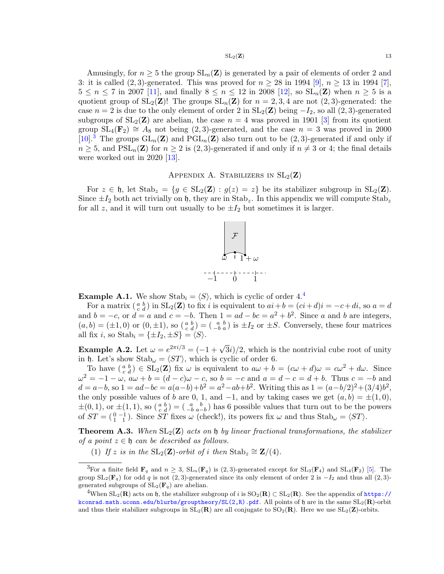#### $SL_2(\mathbf{Z})$  13

Amusingly, for  $n \geq 5$  the group  $SL_n(\mathbf{Z})$  is generated by a pair of elements of order 2 and 3: it is called  $(2, 3)$ -generated. This was proved for  $n \ge 28$  in 1994 [\[9\]](#page-17-2),  $n \ge 13$  in 1994 [\[7\]](#page-17-3),  $5 \le n \le 7$  in 2007 [\[11\]](#page-17-4), and finally  $8 \le n \le 12$  in 2008 [\[12\]](#page-17-5), so  $SL_n(\mathbf{Z})$  when  $n \ge 5$  is a quotient group of  $SL_2(\mathbf{Z})!$  The groups  $SL_n(\mathbf{Z})$  for  $n = 2, 3, 4$  are not  $(2, 3)$ -generated: the case  $n = 2$  is due to the only element of order 2 in  $SL_2(\mathbf{Z})$  being  $-I_2$ , so all  $(2, 3)$ -generated subgroups of  $SL_2(\mathbf{Z})$  are abelian, the case  $n = 4$  was proved in 1901 [\[3\]](#page-17-6) from its quotient group  $SL_4(\mathbf{F}_2) \cong A_8$  not being (2,3)-generated, and the case  $n = 3$  was proved in 2000  $[10]<sup>3</sup>$  $[10]<sup>3</sup>$  $[10]<sup>3</sup>$  $[10]<sup>3</sup>$  The groups  $GL_n(\mathbf{Z})$  and  $PGL_n(\mathbf{Z})$  also turn out to be  $(2,3)$ -generated if and only if  $n \geq 5$ , and  $PSL_n(\mathbf{Z})$  for  $n \geq 2$  is  $(2, 3)$ -generated if and only if  $n \neq 3$  or 4; the final details were worked out in 2020 [\[13\]](#page-17-8).

# APPENDIX A. STABILIZERS IN  $SL_2(\mathbf{Z})$

<span id="page-12-0"></span>For  $z \in \mathfrak{h}$ , let  $\text{Stab}_z = \{g \in SL_2(\mathbf{Z}) : g(z) = z\}$  be its stabilizer subgroup in  $SL_2(\mathbf{Z})$ . Since  $\pm I_2$  both act trivially on h, they are in Stab<sub>z</sub>. In this appendix we will compute Stab<sub>z</sub> for all z, and it will turn out usually to be  $\pm I_2$  but sometimes it is larger.



<span id="page-12-3"></span>**Example A.1.** We show Stab<sub>i</sub> =  $\langle S \rangle$ , which is cyclic of order [4](#page-12-2).<sup>4</sup>

For a matrix  $\begin{pmatrix} a & b \\ c & d \end{pmatrix}$  in  $SL_2(\mathbf{Z})$  to fix i is equivalent to  $ai+b = (ci+d)i = -c+di$ , so  $a = d$ and  $b = -c$ , or  $d = a$  and  $c = -b$ . Then  $1 = ad - bc = a^2 + b^2$ . Since a and b are integers,  $(a, b) = (\pm 1, 0)$  or  $(0, \pm 1)$ , so  $\begin{pmatrix} a & b \\ c & d \end{pmatrix} = \begin{pmatrix} a & b \\ -b & a \end{pmatrix}$  is  $\pm I_2$  or  $\pm S$ . Conversely, these four matrices all fix *i*, so  $\text{Stab}_i = {\pm I_2, \pm S} = \langle S \rangle.$ 

<span id="page-12-4"></span>**Example A.2.** Let  $\omega = e^{2\pi i/3} = (-1 + \sqrt{3}i)/2$ , which is the nontrivial cube root of unity in h. Let's show  $\text{Stab}_{\omega} = \langle ST \rangle$ , which is cyclic of order 6.

To have  $\binom{a}{c}\in SL_2(\mathbf{Z})$  fix  $\omega$  is equivalent to  $a\omega + b = (c\omega + d)\omega = c\omega^2 + d\omega$ . Since  $\omega^2 = -1 - \omega$ ,  $a\omega + b = (d - c)\omega - c$ , so  $b = -c$  and  $a = d - c = d + b$ . Thus  $c = -b$  and  $d = a-b$ , so  $1 = ad-bc = a(a-b)+b<sup>2</sup> = a<sup>2</sup>-ab+b<sup>2</sup>$ . Writing this as  $1 = (a-b/2)<sup>2</sup>+(3/4)b<sup>2</sup>$ , the only possible values of b are 0, 1, and  $-1$ , and by taking cases we get  $(a, b) = \pm(1, 0)$ ,  $\pm(0,1)$ , or  $\pm(1,1)$ , so  $\left(\begin{smallmatrix} a & b \\ c & d \end{smallmatrix}\right) = \left(\begin{smallmatrix} a & b \\ -b & a-b \end{smallmatrix}\right)$  has 6 possible values that turn out to be the powers of  $ST = \begin{pmatrix} 0 & -1 \\ 1 & 1 \end{pmatrix}$ . Since  $ST$  fixes  $\omega$  (check!), its powers fix  $\omega$  and thus  $Stab_{\omega} = \langle ST \rangle$ .

<span id="page-12-5"></span>**Theorem A.3.** When  $SL_2(\mathbf{Z})$  acts on  $\mathfrak{h}$  by linear fractional transformations, the stabilizer of a point  $z \in \mathfrak{h}$  can be described as follows.

(1) If z is in the  $SL_2(\mathbf{Z})$ -orbit of i then  $Stab_z \cong \mathbf{Z}/(4)$ .

<span id="page-12-1"></span><sup>&</sup>lt;sup>3</sup>For a finite field  $\mathbf{F}_q$  and  $n \geq 3$ ,  $SL_n(\mathbf{F}_q)$  is (2,3)-generated except for  $SL_3(\mathbf{F}_4)$  and  $SL_4(\mathbf{F}_2)$  [\[5\]](#page-17-9). The group  $SL_2(\mathbf{F}_q)$  for odd q is not (2,3)-generated since its only element of order 2 is  $-I_2$  and thus all (2,3)generated subgroups of  $SL_2(\mathbf{F}_q)$  are abelian.

<span id="page-12-2"></span><sup>&</sup>lt;sup>4</sup>When  $SL_2(\mathbf{R})$  acts on h, the stabilizer subgroup of i is  $SO_2(\mathbf{R}) \subset SL_2(\mathbf{R})$ . See the appendix of [https://](https://kconrad.math.uconn.edu/blurbs/grouptheory/SL(2,R).pdf) [kconrad.math.uconn.edu/blurbs/grouptheory/SL\(2,R\).pdf](https://kconrad.math.uconn.edu/blurbs/grouptheory/SL(2,R).pdf). All points of  $\mathfrak h$  are in the same  $\mathrm{SL}_2(\mathbf R)$ -orbit and thus their stabilizer subgroups in  $SL_2(\mathbf{R})$  are all conjugate to  $SO_2(\mathbf{R})$ . Here we use  $SL_2(\mathbf{Z})$ -orbits.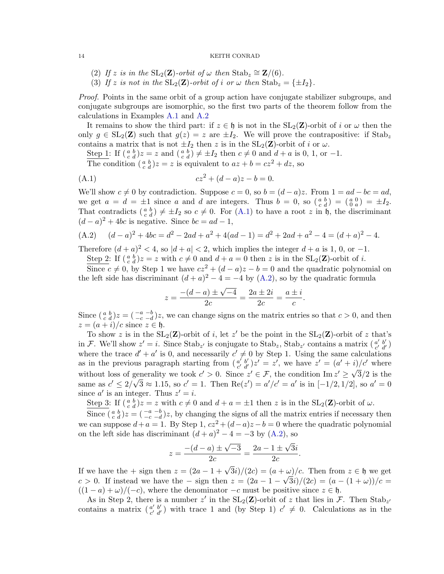- (2) If z is in the  $SL_2(\mathbf{Z})$ -orbit of  $\omega$  then  $Stab_z \cong \mathbf{Z}/(6)$ .
- (3) If z is not in the  $SL_2(\mathbf{Z})$ -orbit of i or  $\omega$  then  $Stab_z = {\pm I_2}.$

Proof. Points in the same orbit of a group action have conjugate stabilizer subgroups, and conjugate subgroups are isomorphic, so the first two parts of the theorem follow from the calculations in Examples [A.1](#page-12-3) and [A.2](#page-12-4)

It remains to show the third part: if  $z \in \mathfrak{h}$  is not in the  $SL_2(\mathbb{Z})$ -orbit of i or  $\omega$  then the only  $g \in SL_2(\mathbb{Z})$  such that  $g(z) = z$  are  $\pm I_2$ . We will prove the contrapositive: if Stab<sub>z</sub> contains a matrix that is not  $\pm I_2$  then z is in the  $SL_2(\mathbf{Z})$ -orbit of i or  $\omega$ .

Step 1: If  $\left(\begin{smallmatrix} a & b \\ c & d \end{smallmatrix}\right) z = z$  and  $\left(\begin{smallmatrix} a & b \\ c & d \end{smallmatrix}\right) \neq \pm I_2$  then  $c \neq 0$  and  $d + a$  is 0, 1, or -1.

<span id="page-13-0"></span>The condition  $\left(\begin{smallmatrix} a & b \\ c & d \end{smallmatrix}\right)z = z$  is equivalent to  $az + b = cz^2 + dz$ , so

(A.1) 
$$
cz^2 + (d-a)z - b = 0.
$$

We'll show  $c \neq 0$  by contradiction. Suppose  $c = 0$ , so  $b = (d - a)z$ . From  $1 = ad - bc = ad$ , we get  $a = d = \pm 1$  since a and d are integers. Thus  $b = 0$ , so  $\begin{pmatrix} a & b \\ c & d \end{pmatrix} = \begin{pmatrix} a & 0 \\ 0 & a \end{pmatrix} = \pm I_2$ . That contradicts  $\begin{pmatrix} a & b \\ c & d \end{pmatrix} \neq \pm I_2$  so  $c \neq 0$ . For  $(A.1)$  to have a root z in h, the discriminant  $(d-a)^2 + 4bc$  is negative. Since  $bc = ad - 1$ ,

<span id="page-13-1"></span>(A.2) 
$$
(d-a)^2 + 4bc = d^2 - 2ad + a^2 + 4(ad - 1) = d^2 + 2ad + a^2 - 4 = (d+a)^2 - 4.
$$

Therefore  $(d+a)^2 < 4$ , so  $|d+a| < 2$ , which implies the integer  $d+a$  is 1, 0, or -1.

Step 2: If  $\left(\begin{array}{c} a & b \\ c & d \end{array}\right)z = z$  with  $c \neq 0$  and  $d + a = 0$  then z is in the  $SL_2(\mathbb{Z})$ -orbit of i.

Since  $c \neq 0$ , by Step 1 we have  $cz^2 + (d - a)z - b = 0$  and the quadratic polynomial on the left side has discriminant  $(d+a)^2-4=-4$  by  $(A.2)$ , so by the quadratic formula

$$
z = \frac{-(d-a) \pm \sqrt{-4}}{2c} = \frac{2a \pm 2i}{2c} = \frac{a \pm i}{c}.
$$

Since  $\left(\begin{array}{cc} a & b \\ c & d \end{array}\right)z = \left(\begin{array}{cc} -a & -b \\ -c & -d \end{array}\right)z$ , we can change signs on the matrix entries so that  $c > 0$ , and then  $z = (a + i)/c$  since  $z \in \mathfrak{h}$ .

To show z is in the  $SL_2(\mathbb{Z})$ -orbit of i, let z' be the point in the  $SL_2(\mathbb{Z})$ -orbit of z that's in F. We'll show  $z' = i$ . Since  $\text{Stab}_{z'}$  is conjugate to  $\text{Stab}_{z}$ ,  $\text{Stab}_{z'}$  contains a matrix  $\begin{pmatrix} a' & b' \\ c' & d' \end{pmatrix}$ where the trace  $d' + a'$  is 0, and necessarily  $c' \neq 0$  by Step 1. Using the same calculations as in the previous paragraph starting from  $\begin{pmatrix} a' & b' \\ c' & d' \end{pmatrix}$  $\begin{array}{c}\n a' & b' \\
c' & d'\n\end{array}$  >  $z' = z'$ , we have  $z' = (a' + i)/c'$  where without loss of generality we took  $c' > 0$ . Since  $z' \in \mathcal{F}$ , the condition Im  $z' \geq \sqrt{3}/2$  is the same as  $c' \leq 2/\sqrt{3} \approx 1.15$ , so  $c' = 1$ . Then  $\text{Re}(z') = a'/c' = a'$  is in  $[-1/2, 1/2]$ , so  $a' = 0$ since  $a'$  is an integer. Thus  $z' = i$ .

Step 3: If  $\left(\begin{array}{c} a & b \\ c & d \end{array}\right)z = z$  with  $c \neq 0$  and  $d + a = \pm 1$  then z is in the SL<sub>2</sub>(**Z**)-orbit of  $\omega$ .

Since  $\left(\begin{array}{c} a & b \\ c & d \end{array}\right)z = \left(\begin{array}{c} -a & -b \\ -c & -d \end{array}\right)z$ , by changing the signs of all the matrix entries if necessary then we can suppose  $d + a = 1$ . By Step 1,  $cz^2 + (d - a)z - b = 0$  where the quadratic polynomial on the left side has discriminant  $(d+a)^2 - 4 = -3$  by  $(A.2)$ , so

$$
z = \frac{-(d-a) \pm \sqrt{-3}}{2c} = \frac{2a - 1 \pm \sqrt{3}i}{2c}.
$$

If we have the + sign then  $z = (2a - 1 + \sqrt{3}i)/(2c) = (a + \omega)/c$ . Then from  $z \in \mathfrak{h}$  we get c > 0. If instead we have the – sign then  $z = (2a - 1 - \sqrt{3}i)/(2c) = (a - (1 + \omega))/c$  $((1 - a) + \omega)/(-c)$ , where the denominator  $-c$  must be positive since  $z \in \mathfrak{h}$ .

As in Step 2, there is a number  $z'$  in the  $SL_2(\mathbf{Z})$ -orbit of  $z$  that lies in  $\mathcal{F}$ . Then  $Stab_{z'}$ contains a matrix  $\begin{pmatrix} a' & b' \\ c' & d' \end{pmatrix}$  $c'_{c'd'}$ ) with trace 1 and (by Step 1)  $c' \neq 0$ . Calculations as in the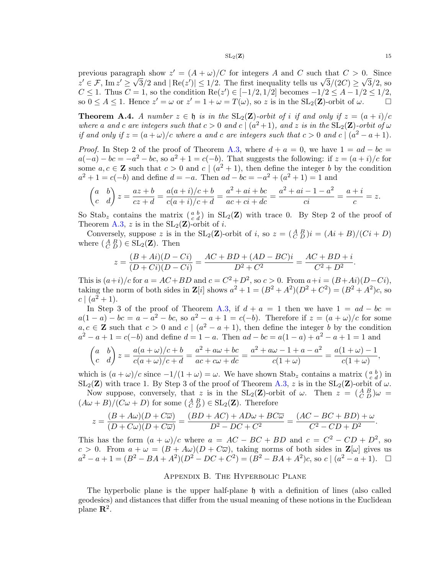$SL_2(\mathbf{Z})$  15

previous paragraph show  $z' = (A + \omega)/C$  for integers A and C such that  $C > 0$ . Since previous paragraph snow  $z = (A + \omega)/C$  for integers A and C such that  $C > 0$ . Since  $z' \in \mathcal{F}$ , Im  $z' \ge \sqrt{3}/2$  and  $|\text{Re}(z')| \le 1/2$ . The first inequality tells us  $\sqrt{3}/(2C) \ge \sqrt{3}/2$ , so  $C \leq 1$ . Thus  $C = 1$ , so the condition Re(z') ∈ [-1/2, 1/2] becomes  $-1/2 \leq A - 1/2 \leq 1/2$ , so  $0 \leq A \leq 1$ . Hence  $z' = \omega$  or  $z' = 1 + \omega = T(\omega)$ , so z is in the  $SL_2(\mathbb{Z})$ -orbit of  $\omega$ .

**Theorem A.4.** A number  $z \in \mathfrak{h}$  is in the  $SL_2(\mathbb{Z})$ -orbit of i if and only if  $z = (a + i)/c$ where a and c are integers such that  $c > 0$  and  $c \mid (a^2 + 1)$ , and z is in the  $SL_2(\mathbb{Z})$ -orbit of  $\omega$ if and only if  $z = (a + \omega)/c$  where a and c are integers such that  $c > 0$  and  $c \mid (a^2 - a + 1)$ .

*Proof.* In Step 2 of the proof of Theorem [A.3,](#page-12-5) where  $d + a = 0$ , we have  $1 = ad - bc =$  $a(-a) - bc = -a^2 - bc$ , so  $a^2 + 1 = c(-b)$ . That suggests the following: if  $z = (a + i)/c$  for some  $a, c \in \mathbb{Z}$  such that  $c > 0$  and  $c \mid (a^2 + 1)$ , then define the integer b by the condition  $a^2 + 1 = c(-b)$  and define  $d = -a$ . Then  $ad - bc = -a^2 + (a^2 + 1) = 1$  and

$$
\begin{pmatrix} a & b \\ c & d \end{pmatrix} z = \frac{az+b}{cz+d} = \frac{a(a+i)/c+b}{c(a+i)/c+d} = \frac{a^2+ai+bc}{ac+ci+dc} = \frac{a^2+ai-1-a^2}{ci} = \frac{a+i}{c} = z.
$$

So Stab<sub>z</sub> contains the matrix  $\begin{pmatrix} a & b \\ c & d \end{pmatrix}$  in SL<sub>2</sub>(**Z**) with trace 0. By Step 2 of the proof of Theorem [A.3,](#page-12-5) z is in the  $SL_2(\mathbf{Z})$ -orbit of *i*.

Conversely, suppose z is in the  $SL_2(\mathbf{Z})$ -orbit of i, so  $z = \left(\begin{smallmatrix} A & B \\ C & D \end{smallmatrix}\right)i = (Ai + B)/(Ci + D)$ where  $\begin{pmatrix} A & B \\ C & D \end{pmatrix} \in SL_2(\mathbf{Z})$ . Then

$$
z = \frac{(B + Ai)(D - Ci)}{(D + Ci)(D - Ci)} = \frac{AC + BD + (AD - BC)i}{D^2 + C^2} = \frac{AC + BD + i}{C^2 + D^2}.
$$

This is  $(a+i)/c$  for  $a = AC + BD$  and  $c = C<sup>2</sup>+D<sup>2</sup>$ , so  $c > 0$ . From  $a+i = (B+Ai)(D-Ci)$ , taking the norm of both sides in  $\mathbf{Z}[i]$  shows  $a^2 + 1 = (B^2 + A^2)(D^2 + C^2) = (B^2 + A^2)c$ , so  $c \mid (a^2 + 1).$ 

In Step 3 of the proof of Theorem [A.3,](#page-12-5) if  $d + a = 1$  then we have  $1 = ad - bc =$  $a(1-a)-bc=a-a^2-bc$ , so  $a^2-a+1=c(-b)$ . Therefore if  $z=(a+\omega)/c$  for some  $a, c \in \mathbb{Z}$  such that  $c > 0$  and  $c \mid (a^2 - a + 1)$ , then define the integer b by the condition  $a^2 - a + 1 = c(-b)$  and define  $d = 1 - a$ . Then  $ad - bc = a(1 - a) + a^2 - a + 1 = 1$  and

$$
\begin{pmatrix} a & b \ c & d \end{pmatrix} z = \frac{a(a+\omega)/c+b}{c(a+\omega)/c+d} = \frac{a^2 + a\omega + bc}{ac + c\omega + dc} = \frac{a^2 + a\omega - 1 + a - a^2}{c(1+\omega)} = \frac{a(1+\omega)-1}{c(1+\omega)},
$$

which is  $(a + \omega)/c$  since  $-1/(1 + \omega) = \omega$ . We have shown Stab<sub>z</sub> contains a matrix  $\begin{pmatrix} a & b \\ c & d \end{pmatrix}$  in  $SL_2(\mathbf{Z})$  with trace 1. By Step 3 of the proof of Theorem [A.3,](#page-12-5) z is in the  $SL_2(\mathbf{Z})$ -orbit of  $\omega$ .

Now suppose, conversely, that z is in the  $SL_2(\mathbf{Z})$ -orbit of  $\omega$ . Then  $z = \begin{pmatrix} A & B \\ C & D \end{pmatrix} \omega =$  $(A\omega + B)/(C\omega + D)$  for some  $(A_B^B) \in SL_2(\mathbf{Z})$ . Therefore

$$
z = \frac{(B + A\omega)(D + C\overline{\omega})}{(D + C\omega)(D + C\overline{\omega})} = \frac{(BD + AC) + AD\omega + BC\overline{\omega}}{D^2 - DC + C^2} = \frac{(AC - BC + BD) + \omega}{C^2 - CD + D^2}.
$$

This has the form  $(a + \omega)/c$  where  $a = AC - BC + BD$  and  $c = C^2 - CD + D^2$ , so  $c > 0$ . From  $a + \omega = (B + A\omega)(D + C\overline{\omega})$ , taking norms of both sides in  $\mathbb{Z}[\omega]$  gives us  $a^2 - a + 1 = (B^2 - BA + A^2)(D^2 - DC + C^2) = (B^2 - BA + A^2)c$ , so  $c \mid (a^2 - a + 1)$ .

## Appendix B. The Hyperbolic Plane

<span id="page-14-0"></span>The hyperbolic plane is the upper half-plane  $\mathfrak h$  with a definition of lines (also called geodesics) and distances that differ from the usual meaning of these notions in the Euclidean plane  $\mathbb{R}^2$ .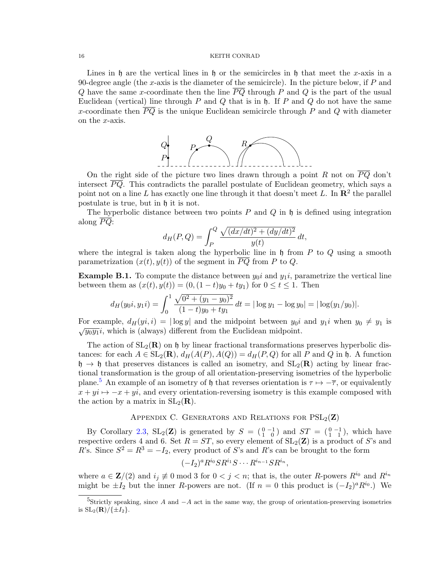Lines in h are the vertical lines in h or the semicircles in h that meet the x-axis in a 90-degree angle (the x-axis is the diameter of the semicircle). In the picture below, if  $P$  and Q have the same x-coordinate then the line  $\overline{PQ}$  through P and Q is the part of the usual Euclidean (vertical) line through P and Q that is in  $\mathfrak h$ . If P and Q do not have the same x-coordinate then  $\overline{PQ}$  is the unique Euclidean semicircle through P and Q with diameter on the x-axis.



On the right side of the picture two lines drawn through a point R not on  $\overline{PQ}$  don't intersect  $\overline{PQ}$ . This contradicts the parallel postulate of Euclidean geometry, which says a point not on a line L has exactly one line through it that doesn't meet L. In  $\mathbb{R}^2$  the parallel postulate is true, but in h it is not.

The hyperbolic distance between two points  $P$  and  $Q$  in  $\mathfrak h$  is defined using integration along  $PQ$ :

$$
d_H(P,Q) = \int_P^Q \frac{\sqrt{(dx/dt)^2 + (dy/dt)^2}}{y(t)} dt,
$$

where the integral is taken along the hyperbolic line in  $\mathfrak h$  from P to Q using a smooth parametrization  $(x(t), y(t))$  of the segment in  $\overline{PQ}$  from P to Q.

**Example B.1.** To compute the distance between  $y_0i$  and  $y_1i$ , parametrize the vertical line between them as  $(x(t), y(t)) = (0, (1-t)y_0 + ty_1)$  for  $0 \le t \le 1$ . Then

$$
d_H(y_0 i, y_1 i) = \int_0^1 \frac{\sqrt{0^2 + (y_1 - y_0)^2}}{(1 - t)y_0 + ty_1} dt = |\log y_1 - \log y_0| = |\log(y_1/y_0)|.
$$

For example,  $d_H(y_i, i) = |\log y|$  and the midpoint between  $y_0i$  and  $y_1i$  when  $y_0 \neq y_1$  is  $\sqrt{y_0y_1}i$ , which is (always) different from the Euclidean midpoint.

The action of  $SL_2(\mathbf{R})$  on h by linear fractional transformations preserves hyperbolic distances: for each  $A \in SL_2(\mathbf{R})$ ,  $d_H(A(P), A(Q)) = d_H(P, Q)$  for all P and Q in h. A function  $h \rightarrow h$  that preserves distances is called an isometry, and  $SL_2(\mathbf{R})$  acting by linear fractional transformation is the group of all orientation-preserving isometries of the hyperbolic plane.<sup>[5](#page-15-1)</sup> An example of an isometry of h that reverses orientation is  $\tau \mapsto -\overline{\tau}$ , or equivalently  $x + yi \mapsto -x + yi$ , and every orientation-reversing isometry is this example composed with the action by a matrix in  $SL_2(\mathbf{R})$ .

# APPENDIX C. GENERATORS AND RELATIONS FOR  $PSL_2(\mathbf{Z})$

<span id="page-15-0"></span>By Corollary [2.3,](#page-4-3)  $SL_2(\mathbb{Z})$  is generated by  $S = \begin{pmatrix} 0 & -1 \\ 1 & 0 \end{pmatrix}$  and  $ST = \begin{pmatrix} 0 & -1 \\ 1 & 1 \end{pmatrix}$ , which have respective orders 4 and 6. Set  $R = ST$ , so every element of  $SL_2(\mathbf{Z})$  is a product of S's and R's. Since  $S^2 = R^3 = -I_2$ , every product of S's and R's can be brought to the form

$$
(-I_2)^{a} R^{i_0} S R^{i_1} S \cdots R^{i_{n-1}} S R^{i_n},
$$

where  $a \in \mathbf{Z}/(2)$  and  $i_j \neq 0 \mod 3$  for  $0 < j < n$ ; that is, the outer R-powers  $R^{i_0}$  and  $R^{i_n}$ might be  $\pm I_2$  but the inner R-powers are not. (If  $n = 0$  this product is  $(-I_2)^a R^{i_0}$ .) We

<span id="page-15-1"></span><sup>&</sup>lt;sup>5</sup>Strictly speaking, since A and  $-A$  act in the same way, the group of orientation-preserving isometries is  $SL_2(\mathbf{R})/\{\pm I_2\}$ .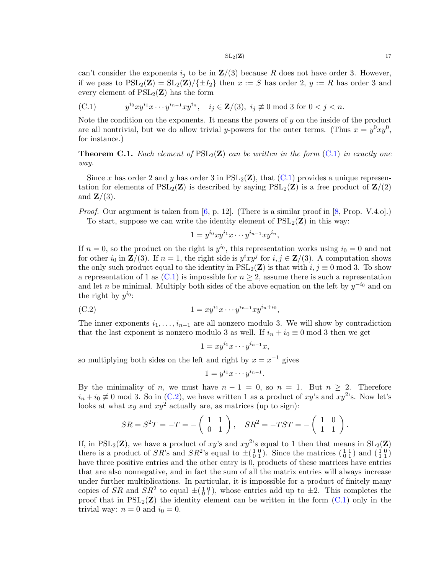$$
SL_2(\mathbf{Z}) \tag{17}
$$

can't consider the exponents  $i_j$  to be in  $\mathbf{Z}/(3)$  because R does not have order 3. However, if we pass to  $PSL_2(\mathbf{Z}) = SL_2(\mathbf{Z})/\{\pm I_2\}$  then  $x := \overline{S}$  has order 2,  $y := \overline{R}$  has order 3 and every element of  $PSL_2(\mathbf{Z})$  has the form

<span id="page-16-0"></span>(C.1) 
$$
y^{i_0}xy^{i_1}x\cdots y^{i_{n-1}}xy^{i_n}, \quad i_j \in \mathbf{Z}/(3), \ i_j \not\equiv 0 \bmod 3 \text{ for } 0 < j < n.
$$

Note the condition on the exponents. It means the powers of  $y$  on the inside of the product are all nontrivial, but we do allow trivial y-powers for the outer terms. (Thus  $x = y^0xy^0$ , for instance.)

**Theorem C.1.** Each element of  $PSL_2(\mathbf{Z})$  can be written in the form  $(C.1)$  in exactly one way.

Since x has order 2 and y has order 3 in  $PSL_2(\mathbf{Z})$ , that  $(C.1)$  provides a unique representation for elements of  $PSL_2(\mathbf{Z})$  is described by saying  $PSL_2(\mathbf{Z})$  is a free product of  $\mathbf{Z}/(2)$ and  $\mathbf{Z}/(3)$ .

*Proof.* Our argument is taken from  $[6, p. 12]$ . (There is a similar proof in  $[8, Prop. V.4.0]$ .) To start, suppose we can write the identity element of  $PSL_2(\mathbf{Z})$  in this way:

$$
1 = y^{i_0}xy^{i_1}x\cdots y^{i_{n-1}}xy^{i_n},
$$

If  $n = 0$ , so the product on the right is  $y^{i_0}$ , this representation works using  $i_0 = 0$  and not for other  $i_0$  in  $\mathbf{Z}/(3)$ . If  $n = 1$ , the right side is  $y^i xy^j$  for  $i, j \in \mathbf{Z}/(3)$ . A computation shows the only such product equal to the identity in  $PSL_2(\mathbf{Z})$  is that with  $i, j \equiv 0 \mod 3$ . To show a representation of 1 as  $(C.1)$  is impossible for  $n \geq 2$ , assume there is such a representation and let *n* be minimal. Multiply both sides of the above equation on the left by  $y^{-i_0}$  and on the right by  $y^{i_0}$ :

(C.2) 
$$
1 = xy^{i_1}x \cdots y^{i_{n-1}}xy^{i_n+i_0},
$$

The inner exponents  $i_1, \ldots, i_{n-1}$  are all nonzero modulo 3. We will show by contradiction that the last exponent is nonzero modulo 3 as well. If  $i_n + i_0 \equiv 0 \mod 3$  then we get

<span id="page-16-1"></span>
$$
1 = xy^{i_1}x \cdots y^{i_{n-1}}x,
$$

so multiplying both sides on the left and right by  $x = x^{-1}$  gives

$$
1 = y^{i_1} x \cdots y^{i_{n-1}}.
$$

By the minimality of n, we must have  $n - 1 = 0$ , so  $n = 1$ . But  $n \geq 2$ . Therefore  $i_n + i_0 \neq 0 \text{ mod } 3$ . So in [\(C.2\)](#page-16-1), we have written 1 as a product of xy's and xy<sup>2</sup>'s. Now let's looks at what  $xy$  and  $xy^2$  actually are, as matrices (up to sign):

$$
SR = S^{2}T = -T = -\begin{pmatrix} 1 & 1 \\ 0 & 1 \end{pmatrix}, \quad SR^{2} = -TST = -\begin{pmatrix} 1 & 0 \\ 1 & 1 \end{pmatrix}.
$$

If, in PSL<sub>2</sub>(**Z**), we have a product of xy's and  $xy^2$ 's equal to 1 then that means in  $SL_2(\mathbf{Z})$ there is a product of  $SR$ 's and  $SR^2$ 's equal to  $\pm(\frac{1}{0} \frac{0}{1})$ . Since the matrices  $(\frac{1}{0} \frac{1}{1})$  and  $(\frac{1}{1} \frac{0}{1})$ have three positive entries and the other entry is 0, products of these matrices have entries that are also nonnegative, and in fact the sum of all the matrix entries will always increase under further multiplications. In particular, it is impossible for a product of finitely many copies of SR and  $SR^2$  to equal  $\pm(\begin{smallmatrix}1&0\\0&1\end{smallmatrix})$ , whose entries add up to  $\pm 2$ . This completes the proof that in  $PSL_2(\mathbf{Z})$  the identity element can be written in the form  $(C.1)$  only in the trivial way:  $n = 0$  and  $i_0 = 0$ .